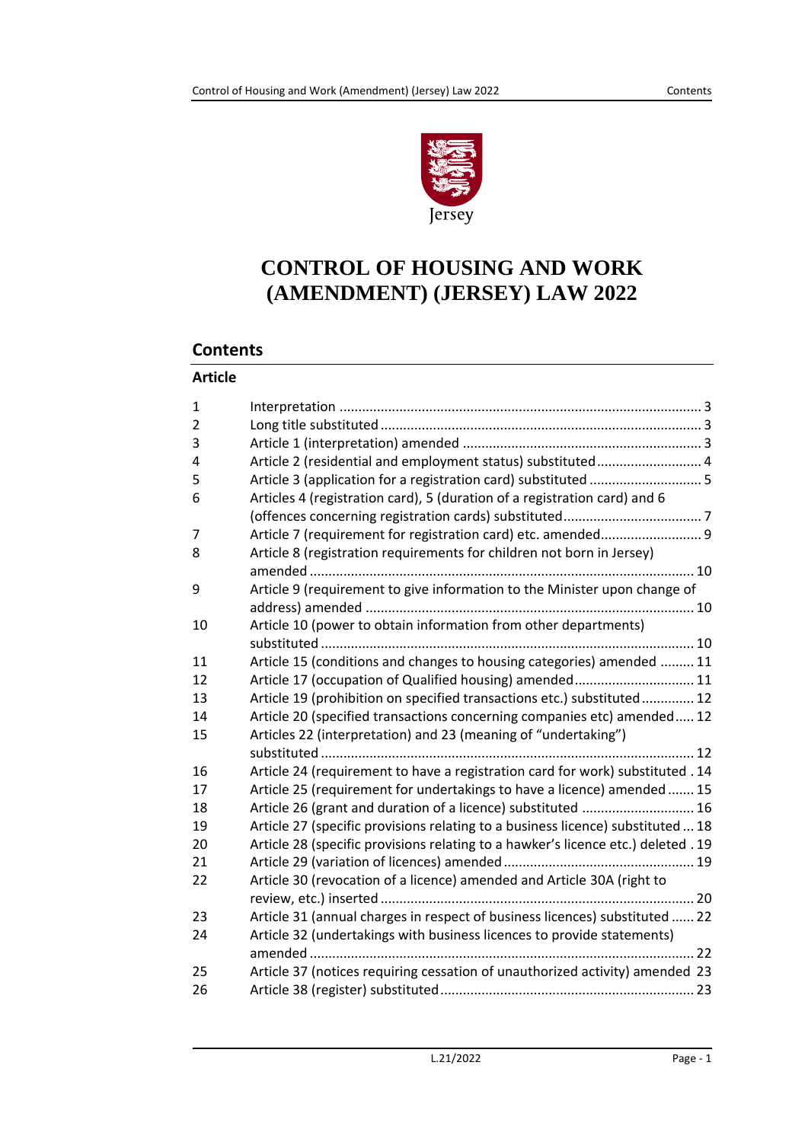

# **CONTROL OF HOUSING AND WORK (AMENDMENT) (JERSEY) LAW 2022**

# **Contents**

### **Article**

| $\mathbf{1}$   |                                                                                   |
|----------------|-----------------------------------------------------------------------------------|
| $\overline{2}$ |                                                                                   |
| 3              |                                                                                   |
| 4              | Article 2 (residential and employment status) substituted 4                       |
| 5              | Article 3 (application for a registration card) substituted 5                     |
| 6              | Articles 4 (registration card), 5 (duration of a registration card) and 6         |
|                |                                                                                   |
| 7              | Article 7 (requirement for registration card) etc. amended 9                      |
| 8              | Article 8 (registration requirements for children not born in Jersey)             |
|                |                                                                                   |
| 9              | Article 9 (requirement to give information to the Minister upon change of         |
|                |                                                                                   |
| 10             | Article 10 (power to obtain information from other departments)                   |
|                |                                                                                   |
| 11             | Article 15 (conditions and changes to housing categories) amended  11             |
| 12             | Article 17 (occupation of Qualified housing) amended 11                           |
| 13             | Article 19 (prohibition on specified transactions etc.) substituted 12            |
| 14             | Article 20 (specified transactions concerning companies etc) amended 12           |
| 15             | Articles 22 (interpretation) and 23 (meaning of "undertaking")                    |
|                |                                                                                   |
| 16             | Article 24 (requirement to have a registration card for work) substituted . 14    |
| 17             | Article 25 (requirement for undertakings to have a licence) amended  15           |
| 18             | Article 26 (grant and duration of a licence) substituted  16                      |
| 19             | Article 27 (specific provisions relating to a business licence) substituted  18   |
| 20             | Article 28 (specific provisions relating to a hawker's licence etc.) deleted . 19 |
| 21             |                                                                                   |
| 22             | Article 30 (revocation of a licence) amended and Article 30A (right to            |
|                |                                                                                   |
| 23             | Article 31 (annual charges in respect of business licences) substituted  22       |
| 24             | Article 32 (undertakings with business licences to provide statements)            |
|                |                                                                                   |
| 25             | Article 37 (notices requiring cessation of unauthorized activity) amended 23      |
| 26             |                                                                                   |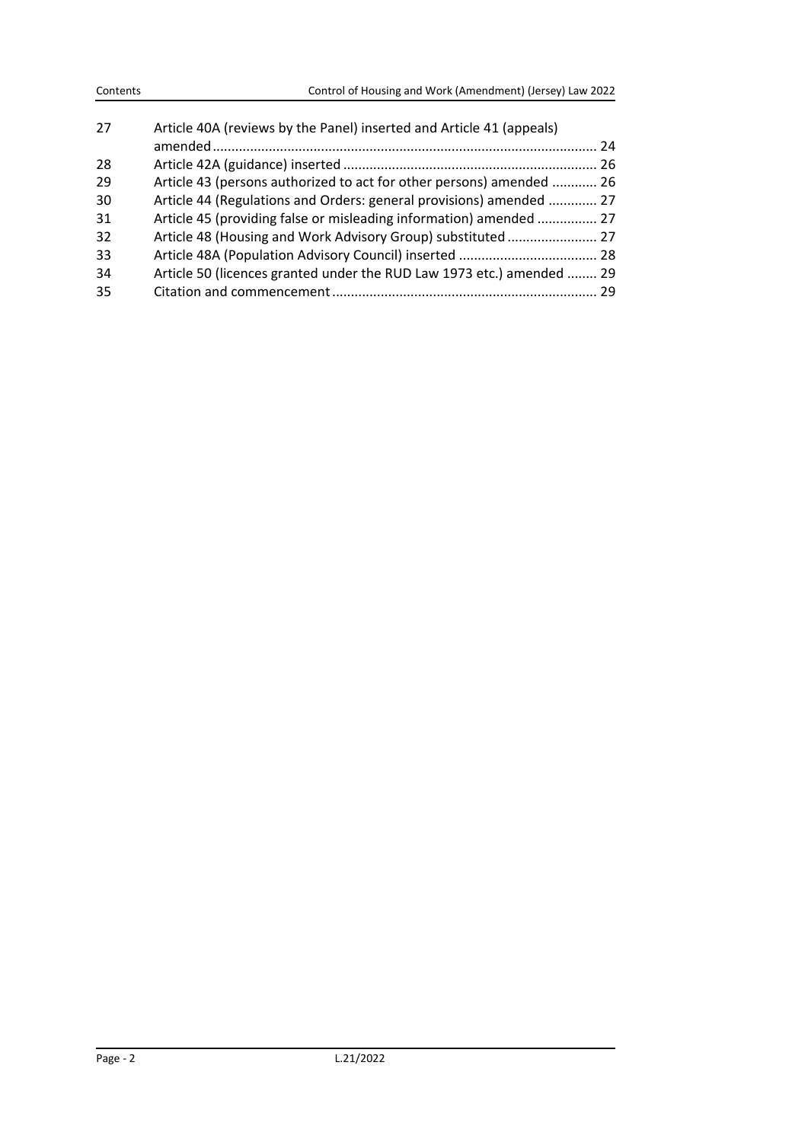| 27  | Article 40A (reviews by the Panel) inserted and Article 41 (appeals)  |  |
|-----|-----------------------------------------------------------------------|--|
|     |                                                                       |  |
| -28 |                                                                       |  |
| 29  | Article 43 (persons authorized to act for other persons) amended  26  |  |
| 30  | Article 44 (Regulations and Orders: general provisions) amended  27   |  |
| 31  | Article 45 (providing false or misleading information) amended  27    |  |
| -32 | Article 48 (Housing and Work Advisory Group) substituted 27           |  |
| 33  |                                                                       |  |
| -34 | Article 50 (licences granted under the RUD Law 1973 etc.) amended  29 |  |
| -35 |                                                                       |  |
|     |                                                                       |  |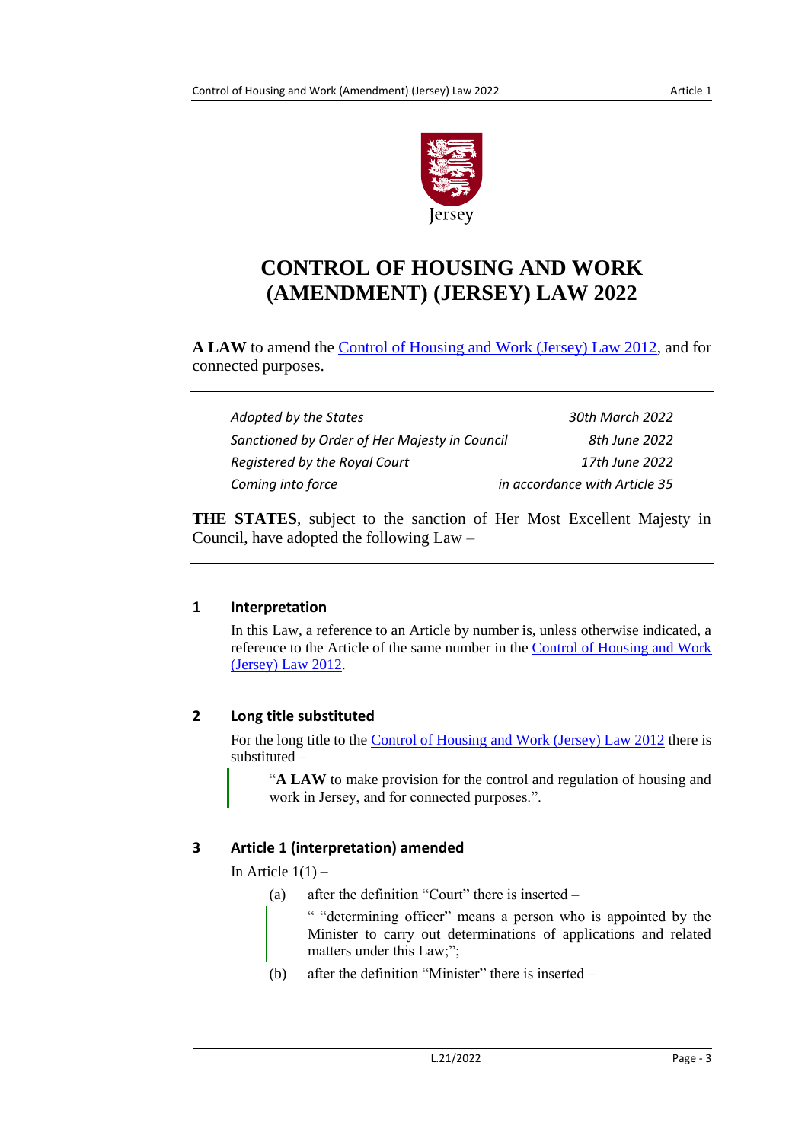

# **CONTROL OF HOUSING AND WORK (AMENDMENT) (JERSEY) LAW 2022**

**A LAW** to amend the [Control of Housing and Work \(Jersey\) Law 2012,](https://www.jerseylaw.je/laws/current/Pages/18.150.aspx) and for connected purposes.

| Adopted by the States                         | 30th March 2022               |
|-----------------------------------------------|-------------------------------|
| Sanctioned by Order of Her Majesty in Council | 8th June 2022                 |
| Registered by the Royal Court                 | 17th June 2022                |
| Coming into force                             | in accordance with Article 35 |

**THE STATES**, subject to the sanction of Her Most Excellent Majesty in Council, have adopted the following Law –

# <span id="page-2-0"></span>**1 Interpretation**

In this Law, a reference to an Article by number is, unless otherwise indicated, a reference to the Article of the same number in the [Control of Housing and Work](https://www.jerseylaw.je/laws/current/Pages/18.150.aspx)  [\(Jersey\) Law](https://www.jerseylaw.je/laws/current/Pages/18.150.aspx) 2012.

# <span id="page-2-1"></span>**2 Long title substituted**

For the long title to the [Control of Housing and Work \(Jersey\) Law](https://www.jerseylaw.je/laws/current/Pages/18.150.aspx) 2012 there is substituted –

"**A LAW** to make provision for the control and regulation of housing and work in Jersey, and for connected purposes.".

# <span id="page-2-2"></span>**3 Article 1 (interpretation) amended**

In Article  $1(1)$  –

(a) after the definition "Court" there is inserted –

" "determining officer" means a person who is appointed by the Minister to carry out determinations of applications and related matters under this Law;";

(b) after the definition "Minister" there is inserted –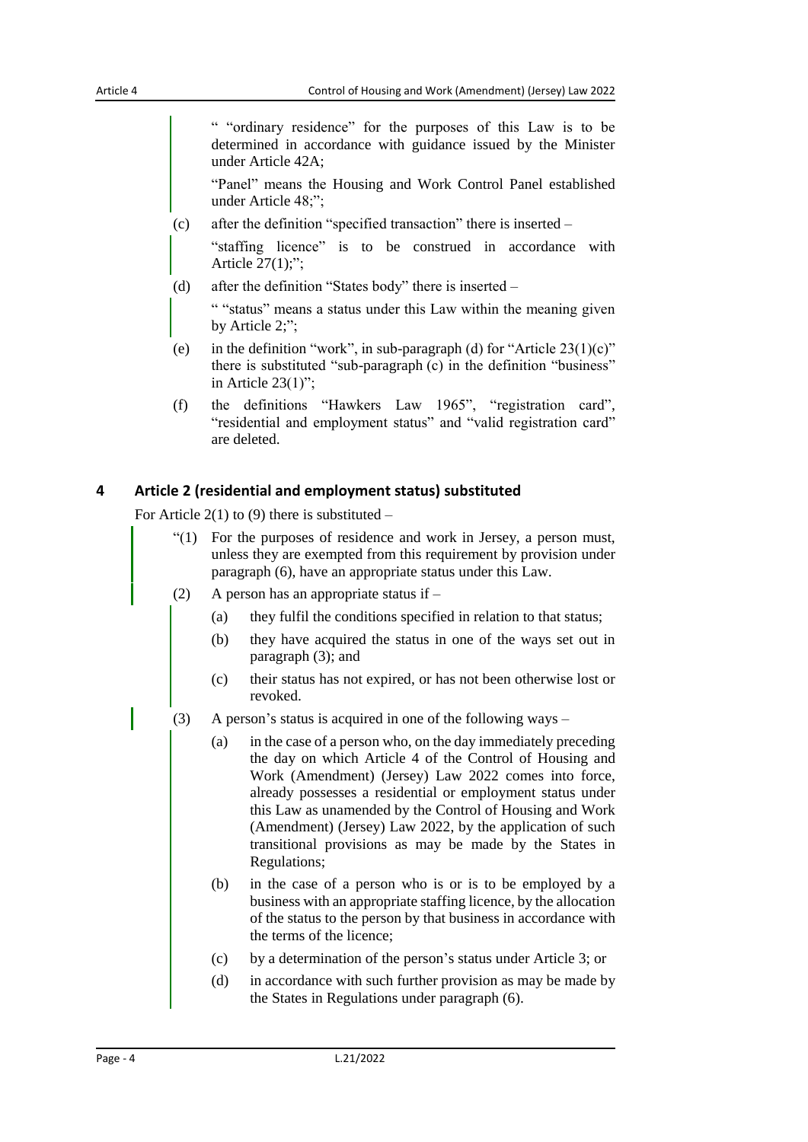" "ordinary residence" for the purposes of this Law is to be determined in accordance with guidance issued by the Minister under Article 42A;

"Panel" means the Housing and Work Control Panel established under Article 48;";

(c) after the definition "specified transaction" there is inserted –

"staffing licence" is to be construed in accordance with Article 27(1);";

(d) after the definition "States body" there is inserted –

" "status" means a status under this Law within the meaning given by Article 2;";

- (e) in the definition "work", in sub-paragraph (d) for "Article  $23(1)(c)$ " there is substituted "sub-paragraph (c) in the definition "business" in Article 23(1)";
- (f) the definitions "Hawkers Law 1965", "registration card", "residential and employment status" and "valid registration card" are deleted.

#### <span id="page-3-0"></span>**4 Article 2 (residential and employment status) substituted**

For Article 2(1) to (9) there is substituted  $-$ 

- "(1) For the purposes of residence and work in Jersey, a person must, unless they are exempted from this requirement by provision under paragraph (6), have an appropriate status under this Law.
- (2) A person has an appropriate status if
	- (a) they fulfil the conditions specified in relation to that status;
	- (b) they have acquired the status in one of the ways set out in paragraph (3); and
	- (c) their status has not expired, or has not been otherwise lost or revoked.
- (3) A person's status is acquired in one of the following ways
	- (a) in the case of a person who, on the day immediately preceding the day on which Article 4 of the Control of Housing and Work (Amendment) (Jersey) Law 2022 comes into force, already possesses a residential or employment status under this Law as unamended by the Control of Housing and Work (Amendment) (Jersey) Law 2022, by the application of such transitional provisions as may be made by the States in Regulations;
	- (b) in the case of a person who is or is to be employed by a business with an appropriate staffing licence, by the allocation of the status to the person by that business in accordance with the terms of the licence;
	- (c) by a determination of the person's status under Article 3; or
	- (d) in accordance with such further provision as may be made by the States in Regulations under paragraph (6).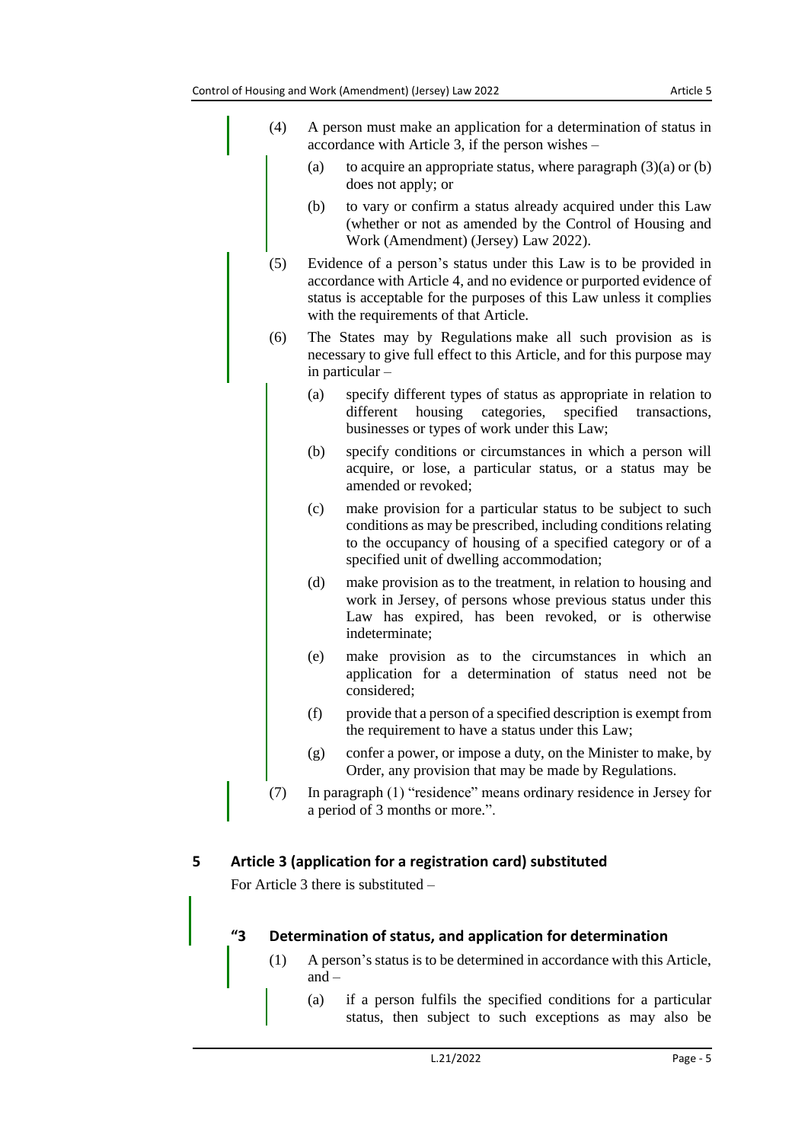| (4) | A person must make an application for a determination of status in<br>accordance with Article 3, if the person wishes –                                                                                                                                    |
|-----|------------------------------------------------------------------------------------------------------------------------------------------------------------------------------------------------------------------------------------------------------------|
|     | (a)<br>to acquire an appropriate status, where paragraph $(3)(a)$ or $(b)$<br>does not apply; or                                                                                                                                                           |
|     | to vary or confirm a status already acquired under this Law<br>(b)<br>(whether or not as amended by the Control of Housing and<br>Work (Amendment) (Jersey) Law 2022).                                                                                     |
| (5) | Evidence of a person's status under this Law is to be provided in<br>accordance with Article 4, and no evidence or purported evidence of<br>status is acceptable for the purposes of this Law unless it complies<br>with the requirements of that Article. |
| (6) | The States may by Regulations make all such provision as is<br>necessary to give full effect to this Article, and for this purpose may<br>in particular -                                                                                                  |
|     | specify different types of status as appropriate in relation to<br>(a)<br>housing categories,<br>specified<br>different<br>transactions,<br>businesses or types of work under this Law;                                                                    |
|     | (b)<br>specify conditions or circumstances in which a person will<br>acquire, or lose, a particular status, or a status may be<br>amended or revoked;                                                                                                      |
|     | make provision for a particular status to be subject to such<br>(c)<br>conditions as may be prescribed, including conditions relating<br>to the occupancy of housing of a specified category or of a<br>specified unit of dwelling accommodation;          |
|     | (d)<br>make provision as to the treatment, in relation to housing and<br>work in Jersey, of persons whose previous status under this<br>Law has expired, has been revoked, or is otherwise<br>indeterminate;                                               |
|     | make provision as to the circumstances in which an<br>(e)<br>application for a determination of status need not be<br>considered;                                                                                                                          |
|     | (f)<br>provide that a person of a specified description is exempt from<br>the requirement to have a status under this Law;                                                                                                                                 |
|     | confer a power, or impose a duty, on the Minister to make, by<br>(g)<br>Order, any provision that may be made by Regulations.                                                                                                                              |
| (7) | In paragraph (1) "residence" means ordinary residence in Jersey for<br>a period of 3 months or more.".                                                                                                                                                     |

<span id="page-4-0"></span>For Article 3 there is substituted –

# **"3 Determination of status, and application for determination**

- (1) A person's status is to be determined in accordance with this Article, and –
	- (a) if a person fulfils the specified conditions for a particular status, then subject to such exceptions as may also be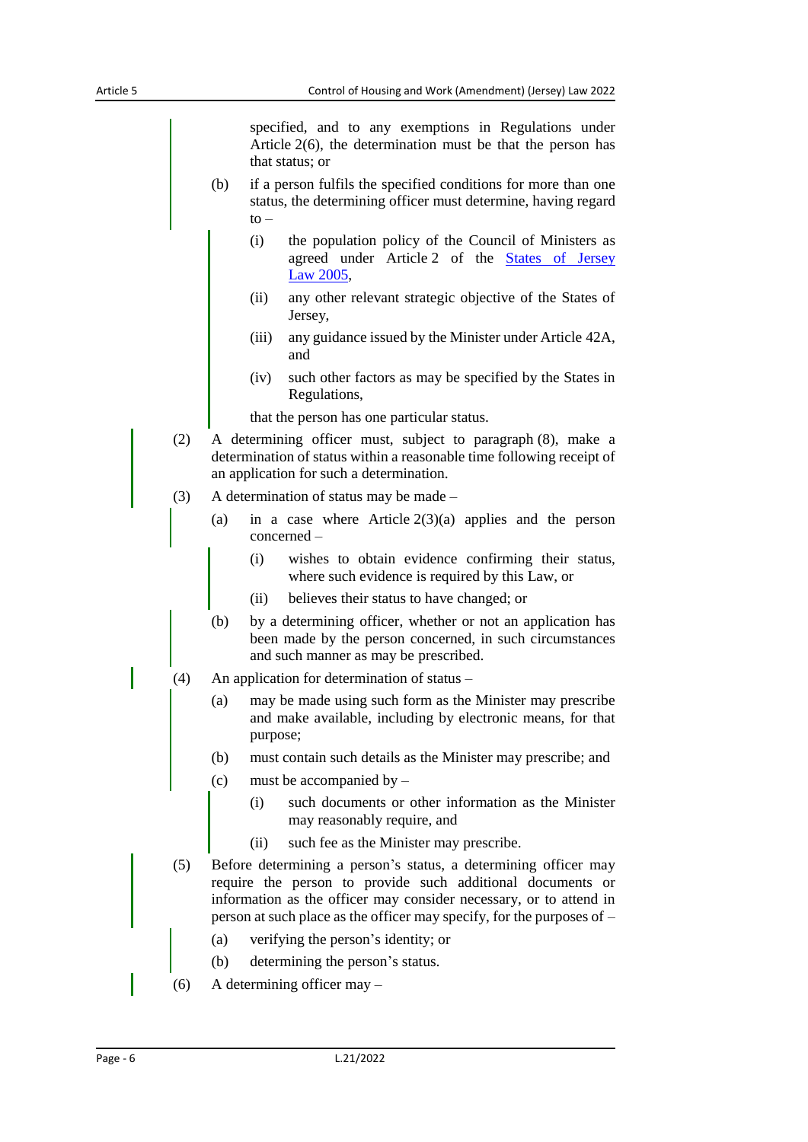specified, and to any exemptions in Regulations under Article 2(6), the determination must be that the person has that status; or

- (b) if a person fulfils the specified conditions for more than one status, the determining officer must determine, having regard  $to -$ 
	- (i) the population policy of the Council of Ministers as agreed under Article 2 of the [States of Jersey](https://www.jerseylaw.je/laws/current/Pages/16.800.aspx)  Law [2005,](https://www.jerseylaw.je/laws/current/Pages/16.800.aspx)
	- (ii) any other relevant strategic objective of the States of Jersey,
	- (iii) any guidance issued by the Minister under Article 42A, and
	- (iv) such other factors as may be specified by the States in Regulations,

that the person has one particular status.

- (2) A determining officer must, subject to paragraph (8), make a determination of status within a reasonable time following receipt of an application for such a determination.
- (3) A determination of status may be made
	- (a) in a case where Article  $2(3)(a)$  applies and the person concerned –
		- (i) wishes to obtain evidence confirming their status, where such evidence is required by this Law, or
		- (ii) believes their status to have changed; or
	- (b) by a determining officer, whether or not an application has been made by the person concerned, in such circumstances and such manner as may be prescribed.
- (4) An application for determination of status
	- (a) may be made using such form as the Minister may prescribe and make available, including by electronic means, for that purpose;
	- (b) must contain such details as the Minister may prescribe; and
	- (c) must be accompanied by
		- (i) such documents or other information as the Minister may reasonably require, and
		- (ii) such fee as the Minister may prescribe.
- (5) Before determining a person's status, a determining officer may require the person to provide such additional documents or information as the officer may consider necessary, or to attend in person at such place as the officer may specify, for the purposes of –
	- (a) verifying the person's identity; or
	- (b) determining the person's status.
- (6) A determining officer may –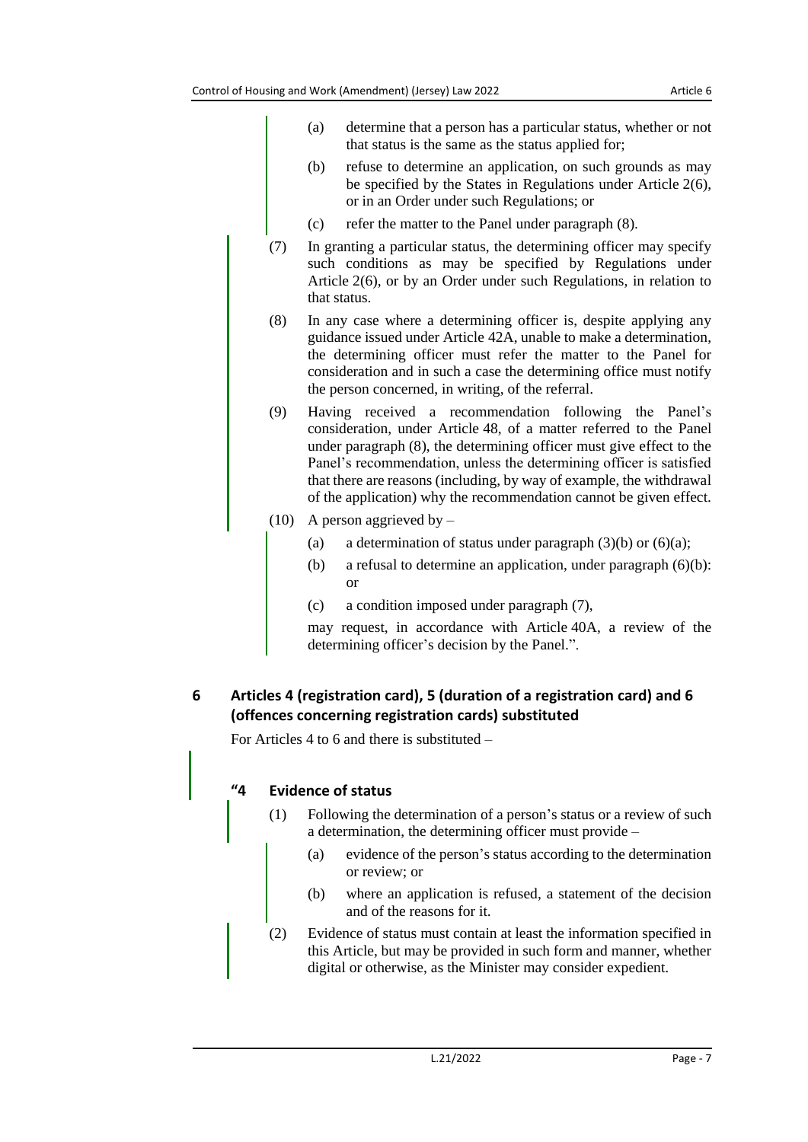- (a) determine that a person has a particular status, whether or not that status is the same as the status applied for;
- (b) refuse to determine an application, on such grounds as may be specified by the States in Regulations under Article 2(6), or in an Order under such Regulations; or
- (c) refer the matter to the Panel under paragraph (8).
- (7) In granting a particular status, the determining officer may specify such conditions as may be specified by Regulations under Article 2(6), or by an Order under such Regulations, in relation to that status.
- (8) In any case where a determining officer is, despite applying any guidance issued under Article 42A, unable to make a determination, the determining officer must refer the matter to the Panel for consideration and in such a case the determining office must notify the person concerned, in writing, of the referral.
- (9) Having received a recommendation following the Panel's consideration, under Article 48, of a matter referred to the Panel under paragraph (8), the determining officer must give effect to the Panel's recommendation, unless the determining officer is satisfied that there are reasons (including, by way of example, the withdrawal of the application) why the recommendation cannot be given effect.
- (10) A person aggrieved by
	- (a) a determination of status under paragraph  $(3)(b)$  or  $(6)(a)$ ;
	- (b) a refusal to determine an application, under paragraph  $(6)(b)$ : or
	- (c) a condition imposed under paragraph (7),

may request, in accordance with Article 40A, a review of the determining officer's decision by the Panel.".

# <span id="page-6-0"></span>**6 Articles 4 (registration card), 5 (duration of a registration card) and 6 (offences concerning registration cards) substituted**

For Articles 4 to 6 and there is substituted –

### **"4 Evidence of status**

- (1) Following the determination of a person's status or a review of such a determination, the determining officer must provide –
	- (a) evidence of the person's status according to the determination or review; or
	- (b) where an application is refused, a statement of the decision and of the reasons for it.
- (2) Evidence of status must contain at least the information specified in this Article, but may be provided in such form and manner, whether digital or otherwise, as the Minister may consider expedient.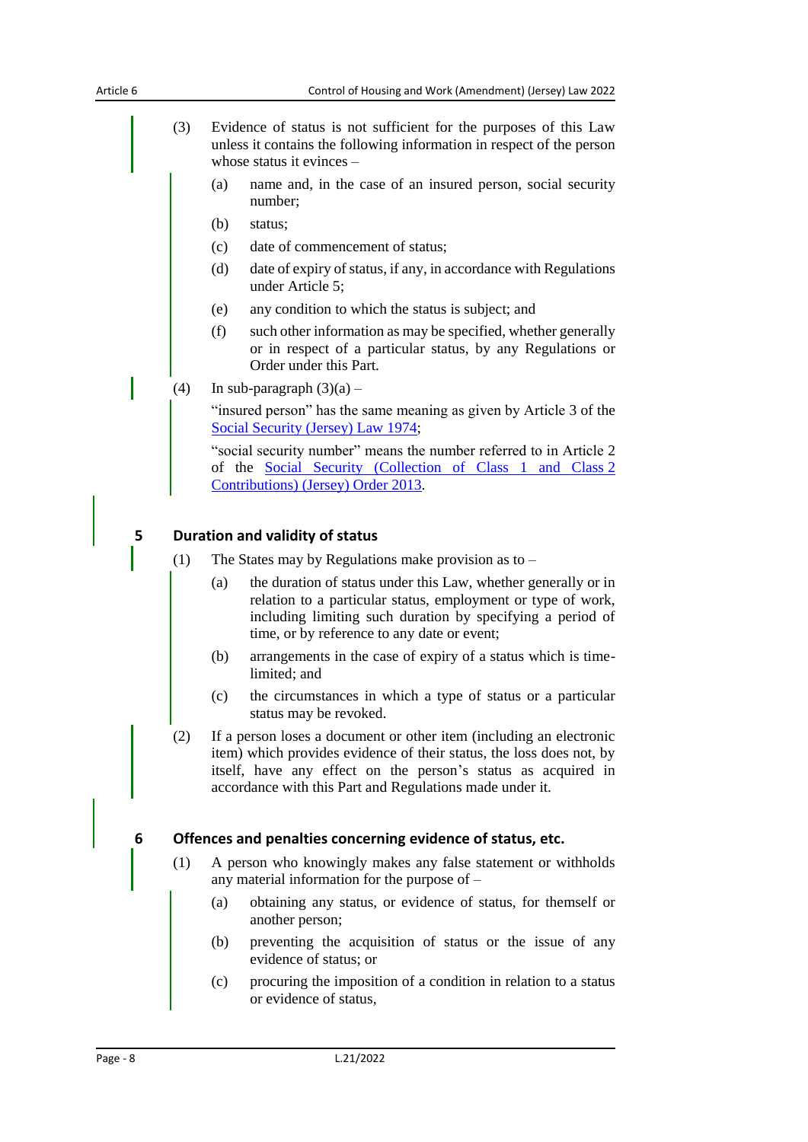- (3) Evidence of status is not sufficient for the purposes of this Law unless it contains the following information in respect of the person whose status it evinces –
	- (a) name and, in the case of an insured person, social security number;
	- (b) status;
	- (c) date of commencement of status;
	- (d) date of expiry of status, if any, in accordance with Regulations under Article 5;
	- (e) any condition to which the status is subject; and
	- (f) such other information as may be specified, whether generally or in respect of a particular status, by any Regulations or Order under this Part.
- (4) In sub-paragraph  $(3)(a)$  –

"insured person" has the same meaning as given by Article 3 of the [Social Security \(Jersey\) Law](https://www.jerseylaw.je/laws/current/Pages/26.900.aspx) 1974;

"social security number" means the number referred to in Article 2 of the [Social Security \(Collection of Class 1 and Class](https://www.jerseylaw.je/laws/current/Pages/26.900.12.aspx) 2 [Contributions\) \(Jersey\) Order](https://www.jerseylaw.je/laws/current/Pages/26.900.12.aspx) 2013.

#### **5 Duration and validity of status**

- (1) The States may by Regulations make provision as to
	- (a) the duration of status under this Law, whether generally or in relation to a particular status, employment or type of work, including limiting such duration by specifying a period of time, or by reference to any date or event;
	- (b) arrangements in the case of expiry of a status which is timelimited; and
	- (c) the circumstances in which a type of status or a particular status may be revoked.
- (2) If a person loses a document or other item (including an electronic item) which provides evidence of their status, the loss does not, by itself, have any effect on the person's status as acquired in accordance with this Part and Regulations made under it.

#### **6 Offences and penalties concerning evidence of status, etc.**

- (1) A person who knowingly makes any false statement or withholds any material information for the purpose of –
	- (a) obtaining any status, or evidence of status, for themself or another person;
	- (b) preventing the acquisition of status or the issue of any evidence of status; or
	- (c) procuring the imposition of a condition in relation to a status or evidence of status,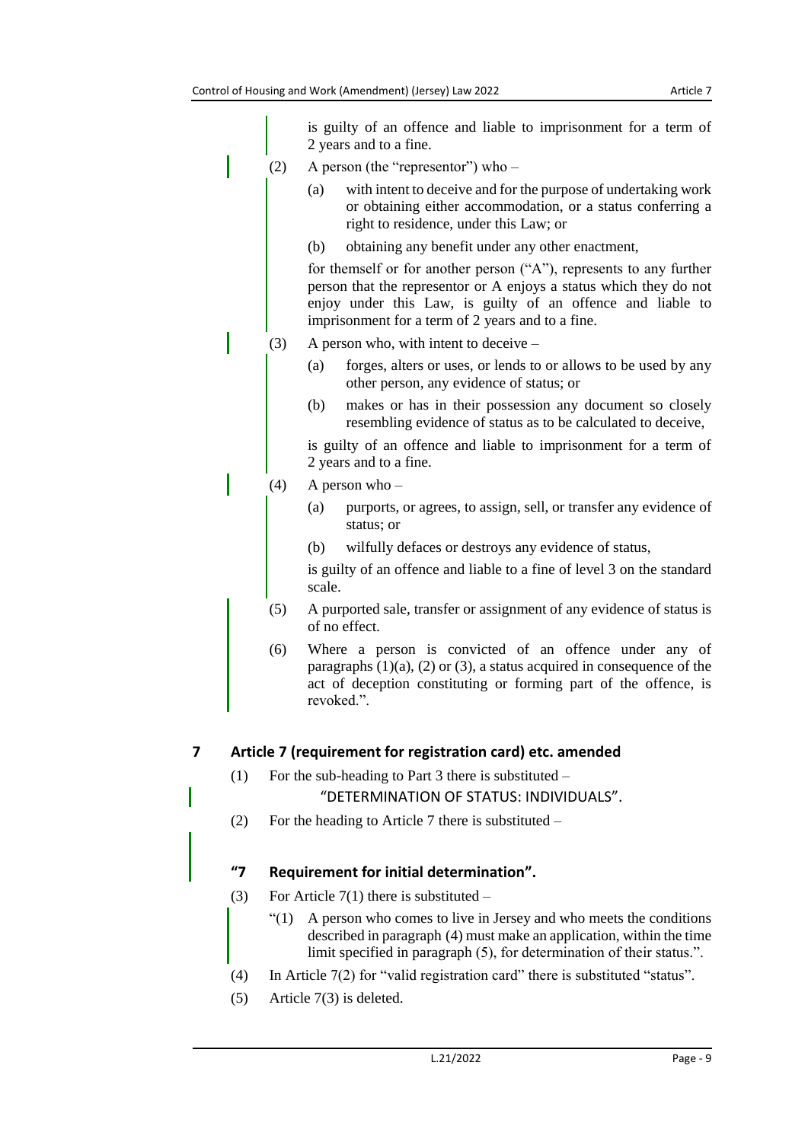is guilty of an offence and liable to imprisonment for a term of 2 years and to a fine.

- (2) A person (the "representor") who
	- (a) with intent to deceive and for the purpose of undertaking work or obtaining either accommodation, or a status conferring a right to residence, under this Law; or
	- (b) obtaining any benefit under any other enactment,

for themself or for another person ("A"), represents to any further person that the representor or A enjoys a status which they do not enjoy under this Law, is guilty of an offence and liable to imprisonment for a term of 2 years and to a fine.

- (3) A person who, with intent to deceive
	- (a) forges, alters or uses, or lends to or allows to be used by any other person, any evidence of status; or
	- (b) makes or has in their possession any document so closely resembling evidence of status as to be calculated to deceive,

is guilty of an offence and liable to imprisonment for a term of 2 years and to a fine.

- (4) A person who
	- (a) purports, or agrees, to assign, sell, or transfer any evidence of status; or
	- (b) wilfully defaces or destroys any evidence of status,

is guilty of an offence and liable to a fine of level 3 on the standard scale.

- (5) A purported sale, transfer or assignment of any evidence of status is of no effect.
- (6) Where a person is convicted of an offence under any of paragraphs  $(1)(a)$ ,  $(2)$  or  $(3)$ , a status acquired in consequence of the act of deception constituting or forming part of the offence, is revoked.".

#### <span id="page-8-0"></span>**7 Article 7 (requirement for registration card) etc. amended**

(1) For the sub-heading to Part 3 there is substituted –

"DETERMINATION OF STATUS: INDIVIDUALS".

(2) For the heading to Article 7 there is substituted –

### **"7 Requirement for initial determination".**

- (3) For Article  $7(1)$  there is substituted
	- $\degree$ (1) A person who comes to live in Jersey and who meets the conditions described in paragraph (4) must make an application, within the time limit specified in paragraph (5), for determination of their status.".
- (4) In Article 7(2) for "valid registration card" there is substituted "status".
- (5) Article 7(3) is deleted.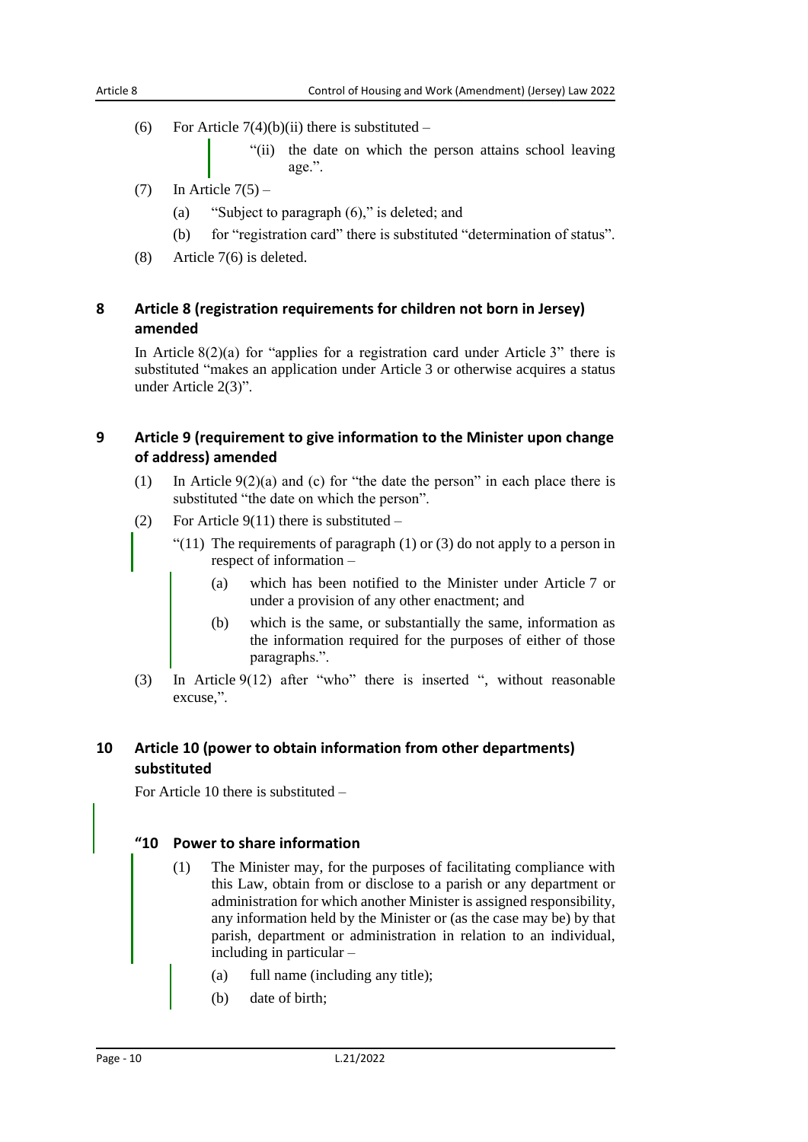(6) For Article  $7(4)(b)(ii)$  there is substituted –

"(ii) the date on which the person attains school leaving age.".

- $(7)$  In Article  $7(5)$ 
	- (a) "Subject to paragraph (6)," is deleted; and
	- (b) for "registration card" there is substituted "determination of status".
- (8) Article 7(6) is deleted.

# <span id="page-9-0"></span>**8 Article 8 (registration requirements for children not born in Jersey) amended**

In Article  $8(2)(a)$  for "applies for a registration card under Article 3" there is substituted "makes an application under Article 3 or otherwise acquires a status under Article 2(3)".

### <span id="page-9-1"></span>**9 Article 9 (requirement to give information to the Minister upon change of address) amended**

- (1) In Article  $9(2)(a)$  and (c) for "the date the person" in each place there is substituted "the date on which the person".
- (2) For Article  $9(11)$  there is substituted
	- "(11) The requirements of paragraph  $(1)$  or  $(3)$  do not apply to a person in respect of information –
		- (a) which has been notified to the Minister under Article 7 or under a provision of any other enactment; and
		- (b) which is the same, or substantially the same, information as the information required for the purposes of either of those paragraphs.".
- (3) In Article 9(12) after "who" there is inserted ", without reasonable excuse,".

# <span id="page-9-2"></span>**10 Article 10 (power to obtain information from other departments) substituted**

For Article 10 there is substituted –

### **"10 Power to share information**

- (1) The Minister may, for the purposes of facilitating compliance with this Law, obtain from or disclose to a parish or any department or administration for which another Minister is assigned responsibility, any information held by the Minister or (as the case may be) by that parish, department or administration in relation to an individual, including in particular –
	- (a) full name (including any title);
	- (b) date of birth;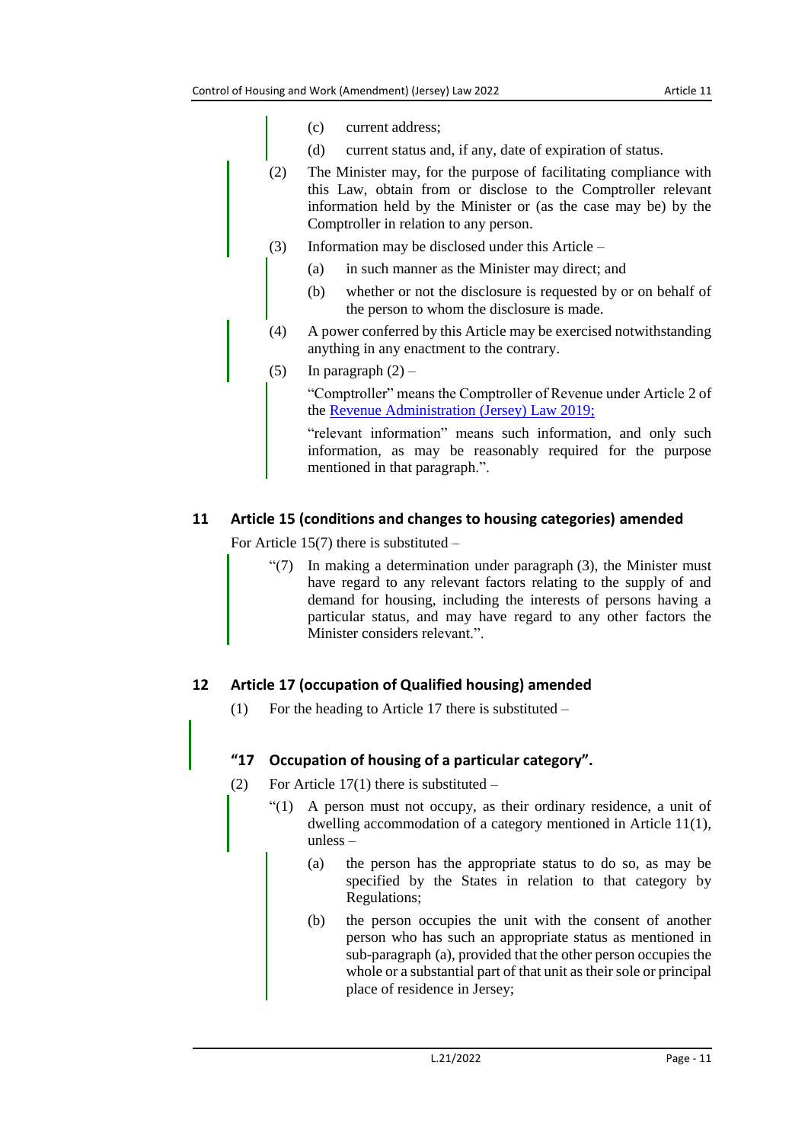- (c) current address;
- (d) current status and, if any, date of expiration of status.
- (2) The Minister may, for the purpose of facilitating compliance with this Law, obtain from or disclose to the Comptroller relevant information held by the Minister or (as the case may be) by the Comptroller in relation to any person.
- (3) Information may be disclosed under this Article
	- (a) in such manner as the Minister may direct; and
	- (b) whether or not the disclosure is requested by or on behalf of the person to whom the disclosure is made.
- (4) A power conferred by this Article may be exercised notwithstanding anything in any enactment to the contrary.
- (5) In paragraph  $(2)$  –

"Comptroller" means the Comptroller of Revenue under Article 2 of the [Revenue Administration \(Jersey\) Law 2019;](https://www.jerseylaw.je/laws/current/Pages/24.955.aspx)

"relevant information" means such information, and only such information, as may be reasonably required for the purpose mentioned in that paragraph.".

## <span id="page-10-0"></span>**11 Article 15 (conditions and changes to housing categories) amended**

For Article 15(7) there is substituted –

 $\degree$ (7) In making a determination under paragraph (3), the Minister must have regard to any relevant factors relating to the supply of and demand for housing, including the interests of persons having a particular status, and may have regard to any other factors the Minister considers relevant.".

# <span id="page-10-1"></span>**12 Article 17 (occupation of Qualified housing) amended**

(1) For the heading to Article 17 there is substituted  $-$ 

#### **"17 Occupation of housing of a particular category".**

- (2) For Article  $17(1)$  there is substituted
	- "(1) A person must not occupy, as their ordinary residence, a unit of dwelling accommodation of a category mentioned in Article 11(1), unless –
		- (a) the person has the appropriate status to do so, as may be specified by the States in relation to that category by Regulations;
		- (b) the person occupies the unit with the consent of another person who has such an appropriate status as mentioned in sub-paragraph (a), provided that the other person occupies the whole or a substantial part of that unit as their sole or principal place of residence in Jersey;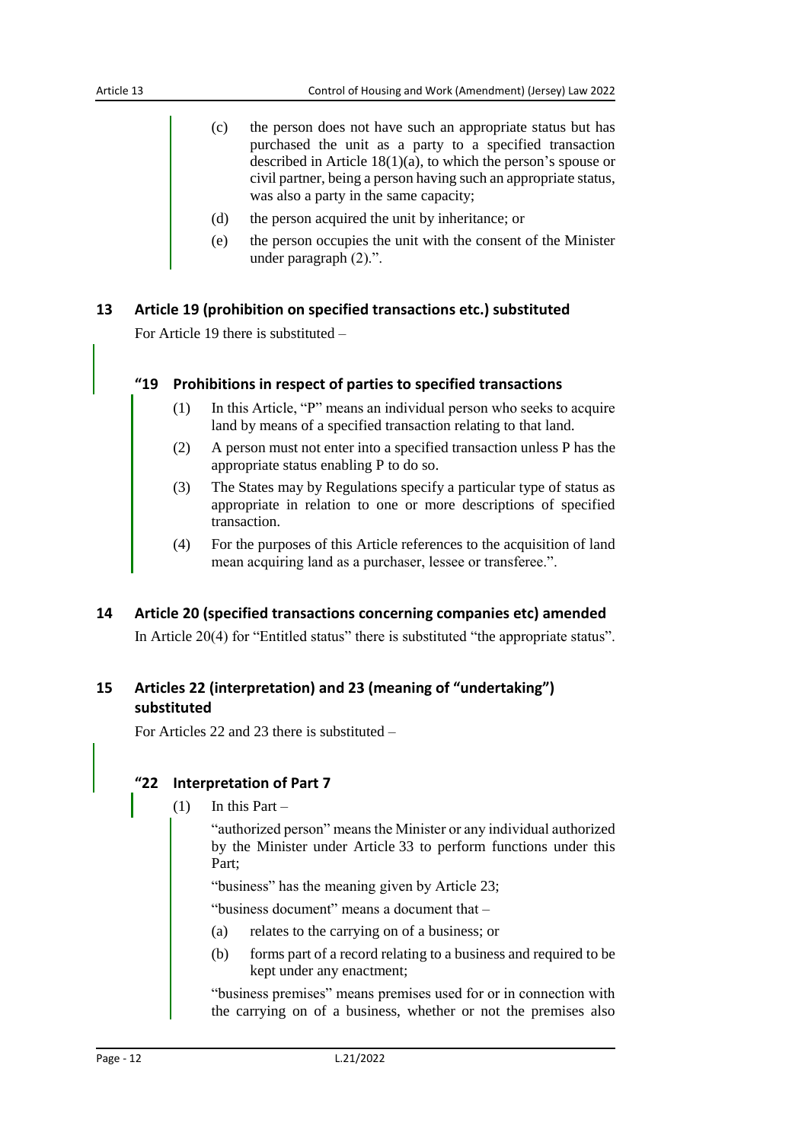- (c) the person does not have such an appropriate status but has purchased the unit as a party to a specified transaction described in Article 18(1)(a), to which the person's spouse or civil partner, being a person having such an appropriate status, was also a party in the same capacity;
- (d) the person acquired the unit by inheritance; or
- (e) the person occupies the unit with the consent of the Minister under paragraph (2).".

#### <span id="page-11-0"></span>**13 Article 19 (prohibition on specified transactions etc.) substituted**

For Article 19 there is substituted –

#### **"19 Prohibitions in respect of parties to specified transactions**

- (1) In this Article, "P" means an individual person who seeks to acquire land by means of a specified transaction relating to that land.
- (2) A person must not enter into a specified transaction unless P has the appropriate status enabling P to do so.
- (3) The States may by Regulations specify a particular type of status as appropriate in relation to one or more descriptions of specified transaction.
- (4) For the purposes of this Article references to the acquisition of land mean acquiring land as a purchaser, lessee or transferee.".

#### <span id="page-11-1"></span>**14 Article 20 (specified transactions concerning companies etc) amended**

In Article 20(4) for "Entitled status" there is substituted "the appropriate status".

# <span id="page-11-2"></span>**15 Articles 22 (interpretation) and 23 (meaning of "undertaking") substituted**

For Articles 22 and 23 there is substituted –

#### **"22 Interpretation of Part 7**

 $(1)$  In this Part –

"authorized person" means the Minister or any individual authorized by the Minister under Article 33 to perform functions under this Part;

"business" has the meaning given by Article 23;

"business document" means a document that –

- (a) relates to the carrying on of a business; or
- (b) forms part of a record relating to a business and required to be kept under any enactment;

"business premises" means premises used for or in connection with the carrying on of a business, whether or not the premises also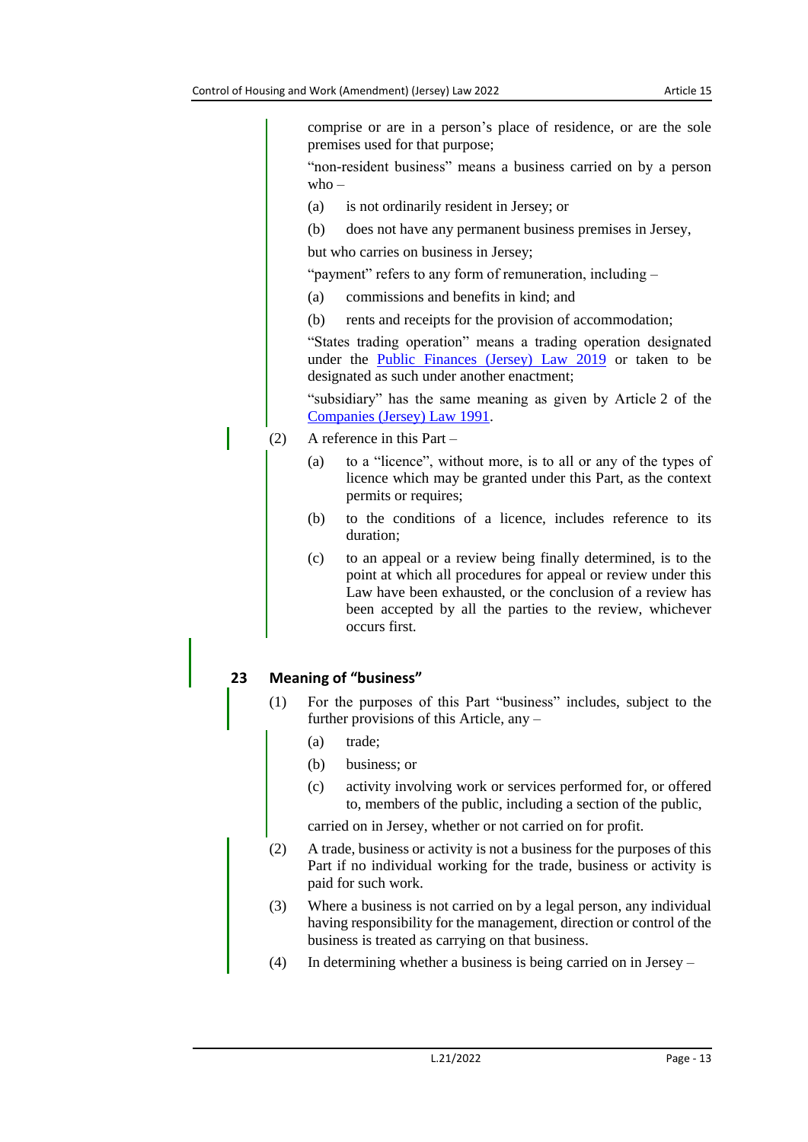comprise or are in a person's place of residence, or are the sole premises used for that purpose;

"non-resident business" means a business carried on by a person  $who -$ 

- (a) is not ordinarily resident in Jersey; or
- (b) does not have any permanent business premises in Jersey,

but who carries on business in Jersey;

"payment" refers to any form of remuneration, including –

- (a) commissions and benefits in kind; and
- (b) rents and receipts for the provision of accommodation;

"States trading operation" means a trading operation designated under the [Public Finances \(Jersey\) Law 2019](https://www.jerseylaw.je/laws/current/Pages/24.900.aspx) or taken to be designated as such under another enactment;

"subsidiary" has the same meaning as given by Article 2 of the [Companies \(Jersey\) Law](https://www.jerseylaw.je/laws/current/Pages/13.125.aspx) 1991.

- (2) A reference in this Part
	- (a) to a "licence", without more, is to all or any of the types of licence which may be granted under this Part, as the context permits or requires;
	- (b) to the conditions of a licence, includes reference to its duration;
	- (c) to an appeal or a review being finally determined, is to the point at which all procedures for appeal or review under this Law have been exhausted, or the conclusion of a review has been accepted by all the parties to the review, whichever occurs first.

#### **23 Meaning of "business"**

- (1) For the purposes of this Part "business" includes, subject to the further provisions of this Article, any –
	- (a) trade;
	- (b) business; or
	- (c) activity involving work or services performed for, or offered to, members of the public, including a section of the public,

carried on in Jersey, whether or not carried on for profit.

- (2) A trade, business or activity is not a business for the purposes of this Part if no individual working for the trade, business or activity is paid for such work.
- (3) Where a business is not carried on by a legal person, any individual having responsibility for the management, direction or control of the business is treated as carrying on that business.
- (4) In determining whether a business is being carried on in Jersey –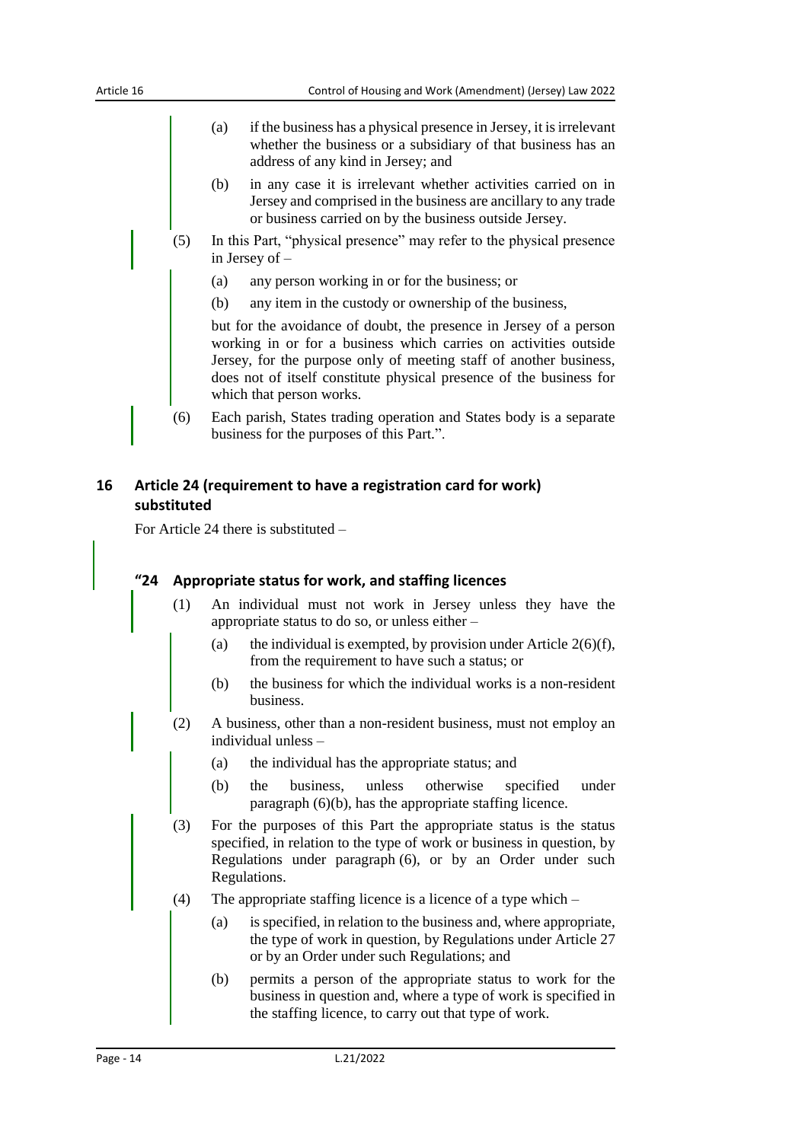- (a) if the business has a physical presence in Jersey, it is irrelevant whether the business or a subsidiary of that business has an address of any kind in Jersey; and
- (b) in any case it is irrelevant whether activities carried on in Jersey and comprised in the business are ancillary to any trade or business carried on by the business outside Jersey.
- (5) In this Part, "physical presence" may refer to the physical presence in Jersey of –
	- (a) any person working in or for the business; or
	- (b) any item in the custody or ownership of the business,

but for the avoidance of doubt, the presence in Jersey of a person working in or for a business which carries on activities outside Jersey, for the purpose only of meeting staff of another business, does not of itself constitute physical presence of the business for which that person works.

(6) Each parish, States trading operation and States body is a separate business for the purposes of this Part.".

#### <span id="page-13-0"></span>**16 Article 24 (requirement to have a registration card for work) substituted**

For Article 24 there is substituted –

#### **"24 Appropriate status for work, and staffing licences**

- (1) An individual must not work in Jersey unless they have the appropriate status to do so, or unless either –
	- (a) the individual is exempted, by provision under Article  $2(6)(f)$ , from the requirement to have such a status; or
	- (b) the business for which the individual works is a non-resident business.
- (2) A business, other than a non-resident business, must not employ an individual unless –
	- (a) the individual has the appropriate status; and
	- (b) the business, unless otherwise specified under paragraph (6)(b), has the appropriate staffing licence.
- (3) For the purposes of this Part the appropriate status is the status specified, in relation to the type of work or business in question, by Regulations under paragraph (6), or by an Order under such Regulations.
- (4) The appropriate staffing licence is a licence of a type which
	- (a) is specified, in relation to the business and, where appropriate, the type of work in question, by Regulations under Article 27 or by an Order under such Regulations; and
	- (b) permits a person of the appropriate status to work for the business in question and, where a type of work is specified in the staffing licence, to carry out that type of work.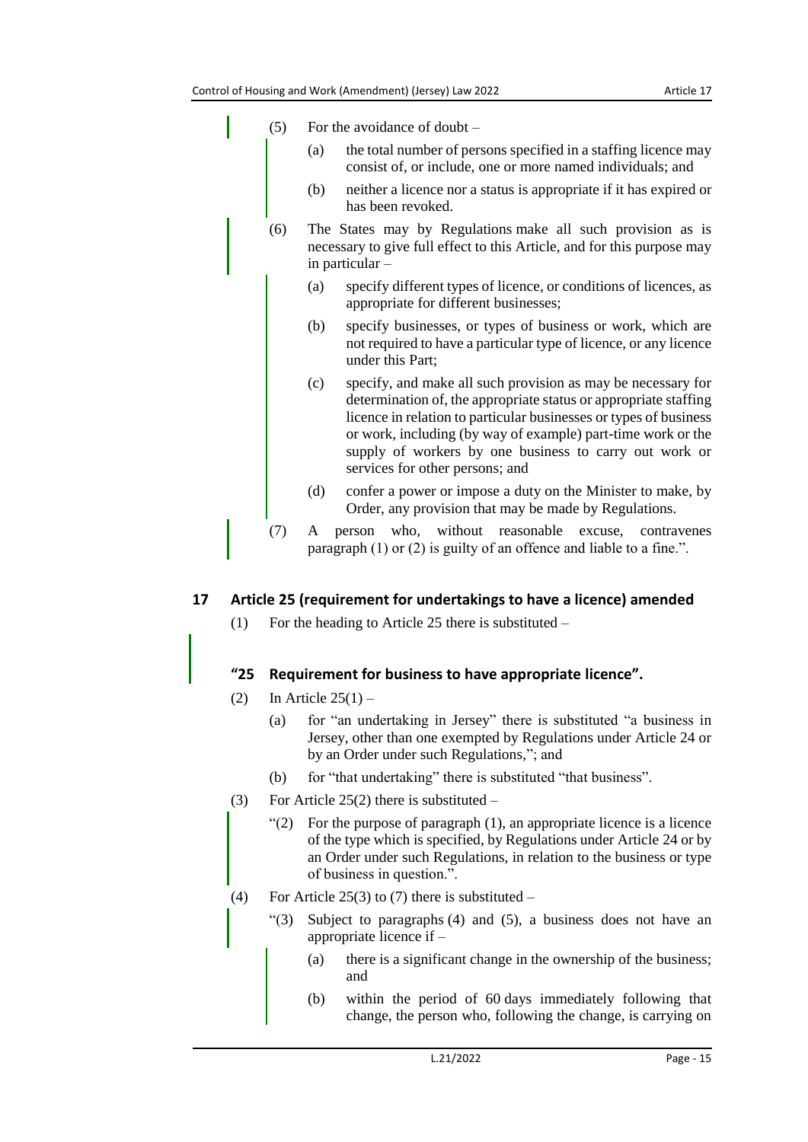- (5) For the avoidance of doubt
	- (a) the total number of persons specified in a staffing licence may consist of, or include, one or more named individuals; and
	- (b) neither a licence nor a status is appropriate if it has expired or has been revoked.
- (6) The States may by Regulations make all such provision as is necessary to give full effect to this Article, and for this purpose may in particular –
	- (a) specify different types of licence, or conditions of licences, as appropriate for different businesses;
	- (b) specify businesses, or types of business or work, which are not required to have a particular type of licence, or any licence under this Part;
	- (c) specify, and make all such provision as may be necessary for determination of, the appropriate status or appropriate staffing licence in relation to particular businesses or types of business or work, including (by way of example) part-time work or the supply of workers by one business to carry out work or services for other persons; and
	- (d) confer a power or impose a duty on the Minister to make, by Order, any provision that may be made by Regulations.
- (7) A person who, without reasonable excuse, contravenes paragraph (1) or (2) is guilty of an offence and liable to a fine.".

#### <span id="page-14-0"></span>**17 Article 25 (requirement for undertakings to have a licence) amended**

(1) For the heading to Article 25 there is substituted –

#### **"25 Requirement for business to have appropriate licence".**

- (2) In Article  $25(1)$ 
	- (a) for "an undertaking in Jersey" there is substituted "a business in Jersey, other than one exempted by Regulations under Article 24 or by an Order under such Regulations,"; and
	- (b) for "that undertaking" there is substituted "that business".
- (3) For Article  $25(2)$  there is substituted
	- $(2)$  For the purpose of paragraph  $(1)$ , an appropriate licence is a licence of the type which is specified, by Regulations under Article 24 or by an Order under such Regulations, in relation to the business or type of business in question.".
- (4) For Article 25(3) to (7) there is substituted  $-$ 
	- "(3) Subject to paragraphs (4) and (5), a business does not have an appropriate licence if –
		- (a) there is a significant change in the ownership of the business; and
		- (b) within the period of 60 days immediately following that change, the person who, following the change, is carrying on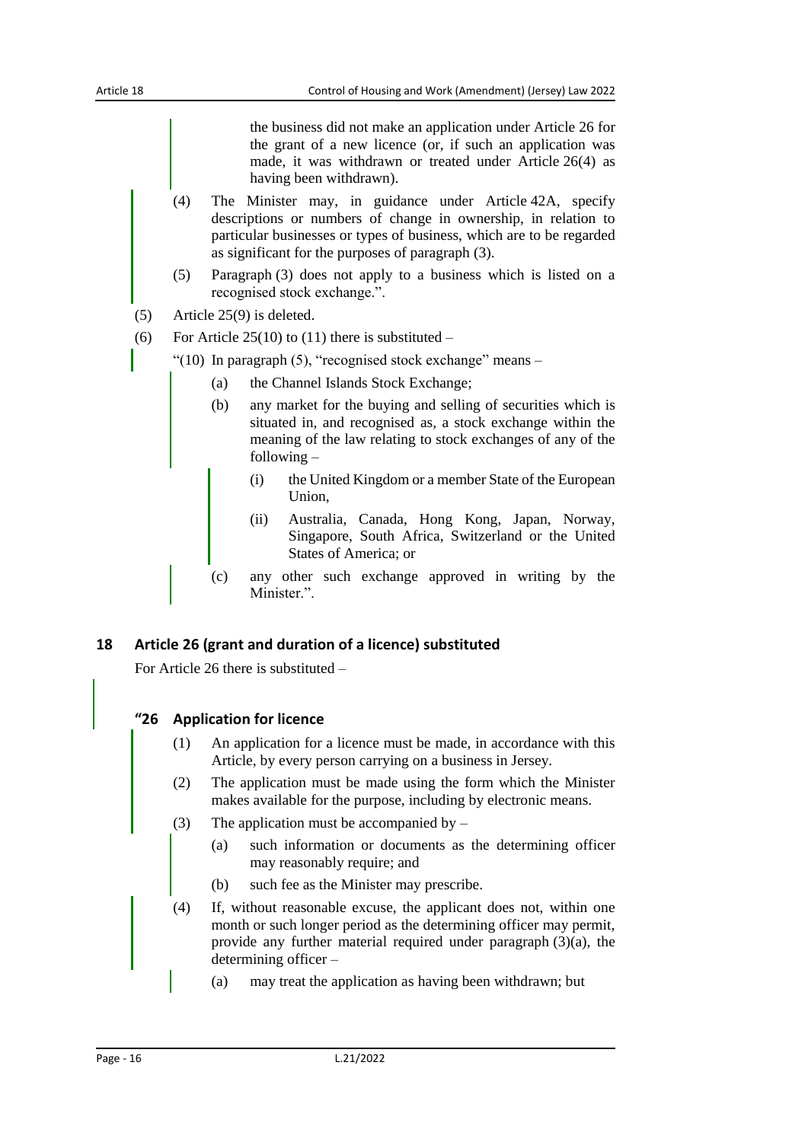the business did not make an application under Article 26 for the grant of a new licence (or, if such an application was made, it was withdrawn or treated under Article 26(4) as having been withdrawn).

- (4) The Minister may, in guidance under Article 42A, specify descriptions or numbers of change in ownership, in relation to particular businesses or types of business, which are to be regarded as significant for the purposes of paragraph (3).
- (5) Paragraph (3) does not apply to a business which is listed on a recognised stock exchange.".
- (5) Article 25(9) is deleted.
- (6) For Article  $25(10)$  to (11) there is substituted –
- "(10) In paragraph  $(5)$ , "recognised stock exchange" means
	- (a) the Channel Islands Stock Exchange;
	- (b) any market for the buying and selling of securities which is situated in, and recognised as, a stock exchange within the meaning of the law relating to stock exchanges of any of the following –
		- (i) the United Kingdom or a member State of the European Union,
		- (ii) Australia, Canada, Hong Kong, Japan, Norway, Singapore, South Africa, Switzerland or the United States of America; or
	- (c) any other such exchange approved in writing by the Minister.".

#### <span id="page-15-0"></span>**18 Article 26 (grant and duration of a licence) substituted**

For Article 26 there is substituted –

#### **"26 Application for licence**

- (1) An application for a licence must be made, in accordance with this Article, by every person carrying on a business in Jersey.
- (2) The application must be made using the form which the Minister makes available for the purpose, including by electronic means.
- (3) The application must be accompanied by  $-$ 
	- (a) such information or documents as the determining officer may reasonably require; and
	- (b) such fee as the Minister may prescribe.
- (4) If, without reasonable excuse, the applicant does not, within one month or such longer period as the determining officer may permit, provide any further material required under paragraph (3)(a), the determining officer –
	- (a) may treat the application as having been withdrawn; but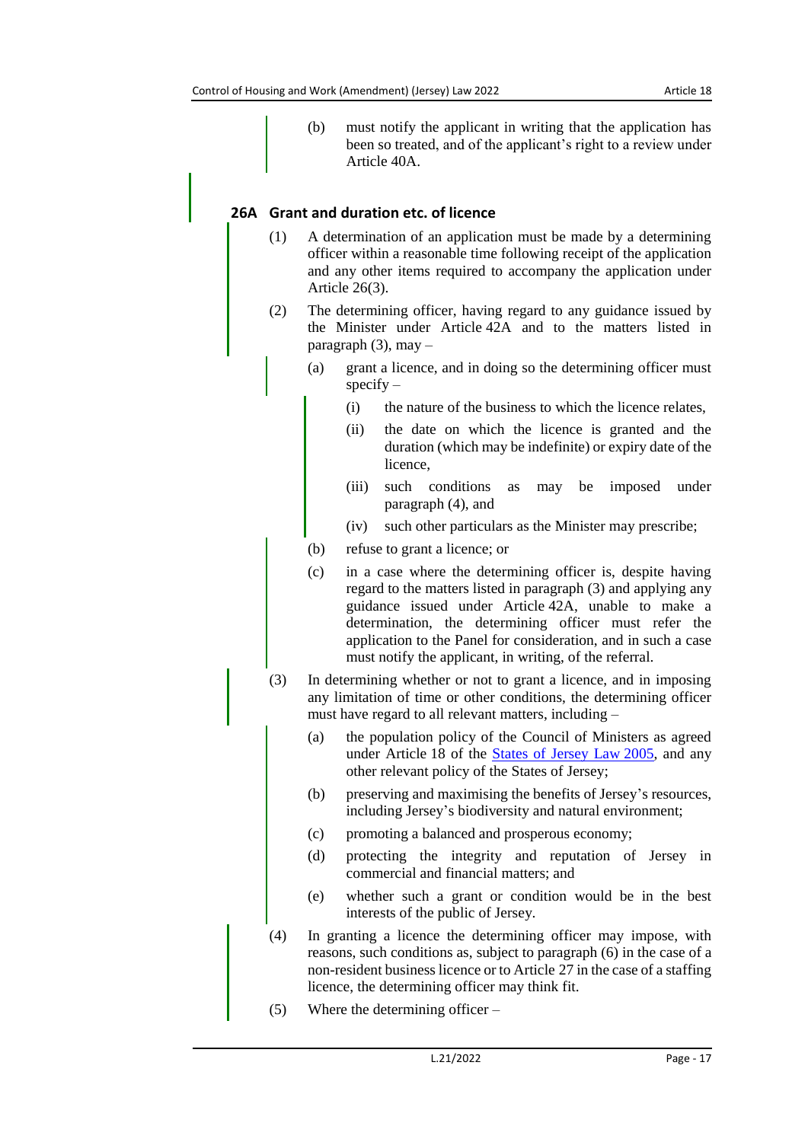(b) must notify the applicant in writing that the application has been so treated, and of the applicant's right to a review under Article 40A.

## **26A Grant and duration etc. of licence**

- (1) A determination of an application must be made by a determining officer within a reasonable time following receipt of the application and any other items required to accompany the application under Article 26(3).
- (2) The determining officer, having regard to any guidance issued by the Minister under Article 42A and to the matters listed in paragraph  $(3)$ , may –
	- (a) grant a licence, and in doing so the determining officer must  $specify -$ 
		- (i) the nature of the business to which the licence relates,
		- (ii) the date on which the licence is granted and the duration (which may be indefinite) or expiry date of the licence,
		- (iii) such conditions as may be imposed under paragraph (4), and
		- (iv) such other particulars as the Minister may prescribe;
	- (b) refuse to grant a licence; or
	- (c) in a case where the determining officer is, despite having regard to the matters listed in paragraph (3) and applying any guidance issued under Article 42A, unable to make a determination, the determining officer must refer the application to the Panel for consideration, and in such a case must notify the applicant, in writing, of the referral.
- (3) In determining whether or not to grant a licence, and in imposing any limitation of time or other conditions, the determining officer must have regard to all relevant matters, including –
	- (a) the population policy of the Council of Ministers as agreed under Article 18 of the [States of Jersey Law](https://www.jerseylaw.je/laws/current/Pages/16.800.aspx) 2005, and any other relevant policy of the States of Jersey;
	- (b) preserving and maximising the benefits of Jersey's resources, including Jersey's biodiversity and natural environment;
	- (c) promoting a balanced and prosperous economy;
	- (d) protecting the integrity and reputation of Jersey in commercial and financial matters; and
	- (e) whether such a grant or condition would be in the best interests of the public of Jersey.
- (4) In granting a licence the determining officer may impose, with reasons, such conditions as, subject to paragraph (6) in the case of a non-resident business licence or to Article 27 in the case of a staffing licence, the determining officer may think fit.
- (5) Where the determining officer –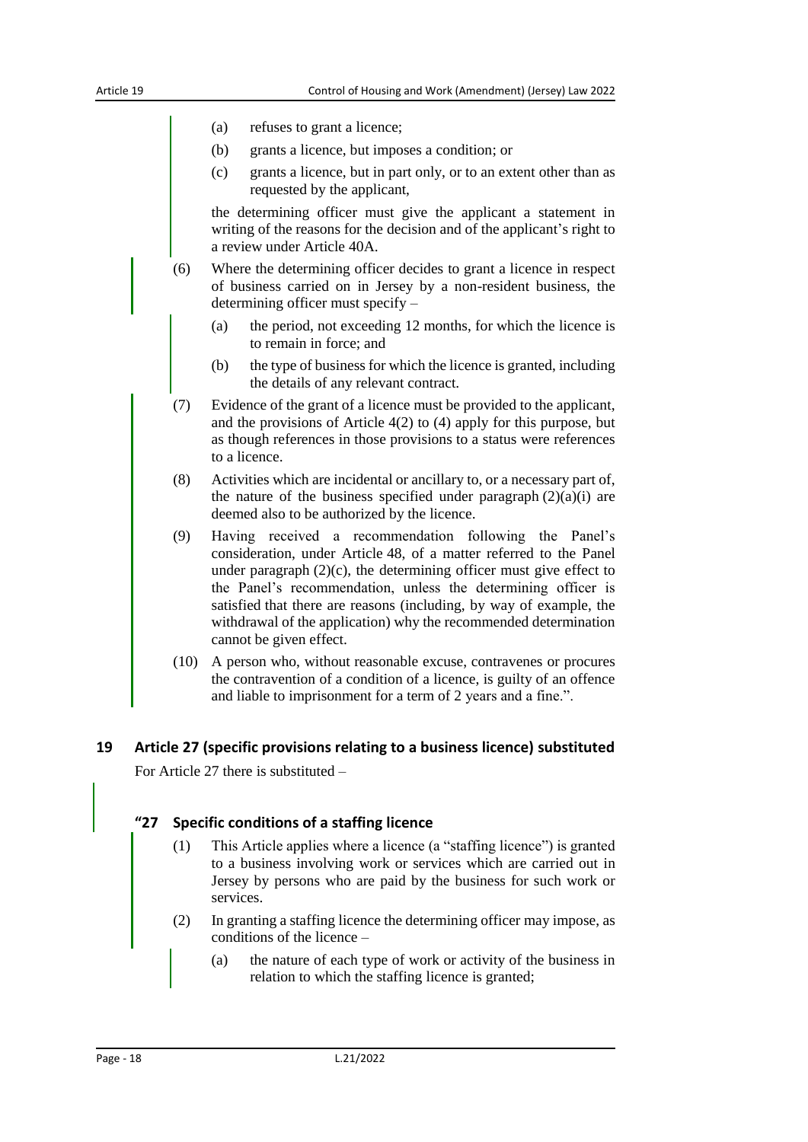- (a) refuses to grant a licence;
- (b) grants a licence, but imposes a condition; or
- (c) grants a licence, but in part only, or to an extent other than as requested by the applicant,

the determining officer must give the applicant a statement in writing of the reasons for the decision and of the applicant's right to a review under Article 40A.

- (6) Where the determining officer decides to grant a licence in respect of business carried on in Jersey by a non-resident business, the determining officer must specify –
	- (a) the period, not exceeding 12 months, for which the licence is to remain in force; and
	- (b) the type of business for which the licence is granted, including the details of any relevant contract.
- (7) Evidence of the grant of a licence must be provided to the applicant, and the provisions of Article 4(2) to (4) apply for this purpose, but as though references in those provisions to a status were references to a licence.
- (8) Activities which are incidental or ancillary to, or a necessary part of, the nature of the business specified under paragraph  $(2)(a)(i)$  are deemed also to be authorized by the licence.
- (9) Having received a recommendation following the Panel's consideration, under Article 48, of a matter referred to the Panel under paragraph  $(2)(c)$ , the determining officer must give effect to the Panel's recommendation, unless the determining officer is satisfied that there are reasons (including, by way of example, the withdrawal of the application) why the recommended determination cannot be given effect.
- (10) A person who, without reasonable excuse, contravenes or procures the contravention of a condition of a licence, is guilty of an offence and liable to imprisonment for a term of 2 years and a fine.".

#### <span id="page-17-0"></span>**19 Article 27 (specific provisions relating to a business licence) substituted**

For Article 27 there is substituted –

#### **"27 Specific conditions of a staffing licence**

- (1) This Article applies where a licence (a "staffing licence") is granted to a business involving work or services which are carried out in Jersey by persons who are paid by the business for such work or services.
- (2) In granting a staffing licence the determining officer may impose, as conditions of the licence –
	- (a) the nature of each type of work or activity of the business in relation to which the staffing licence is granted;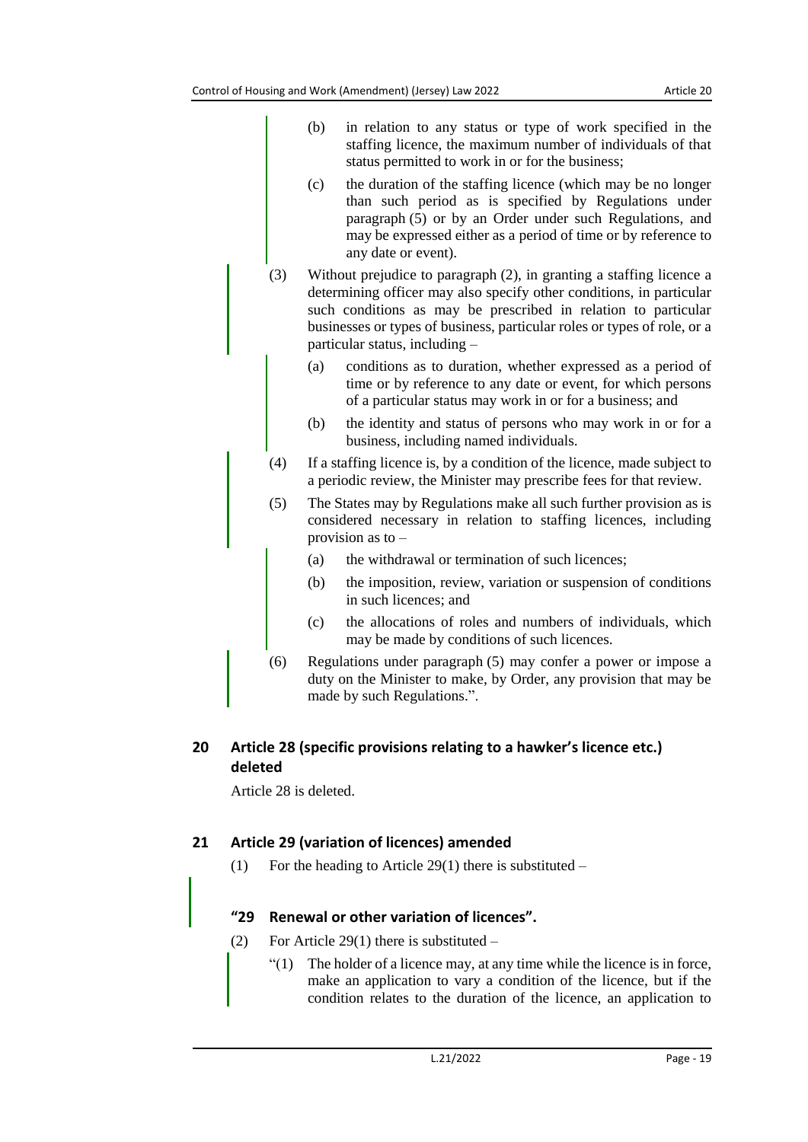particular status, including –

- (b) in relation to any status or type of work specified in the staffing licence, the maximum number of individuals of that status permitted to work in or for the business; (c) the duration of the staffing licence (which may be no longer than such period as is specified by Regulations under paragraph (5) or by an Order under such Regulations, and may be expressed either as a period of time or by reference to any date or event). (3) Without prejudice to paragraph (2), in granting a staffing licence a determining officer may also specify other conditions, in particular such conditions as may be prescribed in relation to particular businesses or types of business, particular roles or types of role, or a
	- (a) conditions as to duration, whether expressed as a period of time or by reference to any date or event, for which persons of a particular status may work in or for a business; and
	- (b) the identity and status of persons who may work in or for a business, including named individuals.
- (4) If a staffing licence is, by a condition of the licence, made subject to a periodic review, the Minister may prescribe fees for that review.
- (5) The States may by Regulations make all such further provision as is considered necessary in relation to staffing licences, including provision as to –
	- (a) the withdrawal or termination of such licences;
	- (b) the imposition, review, variation or suspension of conditions in such licences; and
	- (c) the allocations of roles and numbers of individuals, which may be made by conditions of such licences.
- (6) Regulations under paragraph (5) may confer a power or impose a duty on the Minister to make, by Order, any provision that may be made by such Regulations.".

# <span id="page-18-0"></span>**20 Article 28 (specific provisions relating to a hawker's licence etc.) deleted**

Article 28 is deleted.

# <span id="page-18-1"></span>**21 Article 29 (variation of licences) amended**

(1) For the heading to Article 29(1) there is substituted –

# **"29 Renewal or other variation of licences".**

- (2) For Article 29(1) there is substituted  $-$ 
	- $''(1)$  The holder of a licence may, at any time while the licence is in force, make an application to vary a condition of the licence, but if the condition relates to the duration of the licence, an application to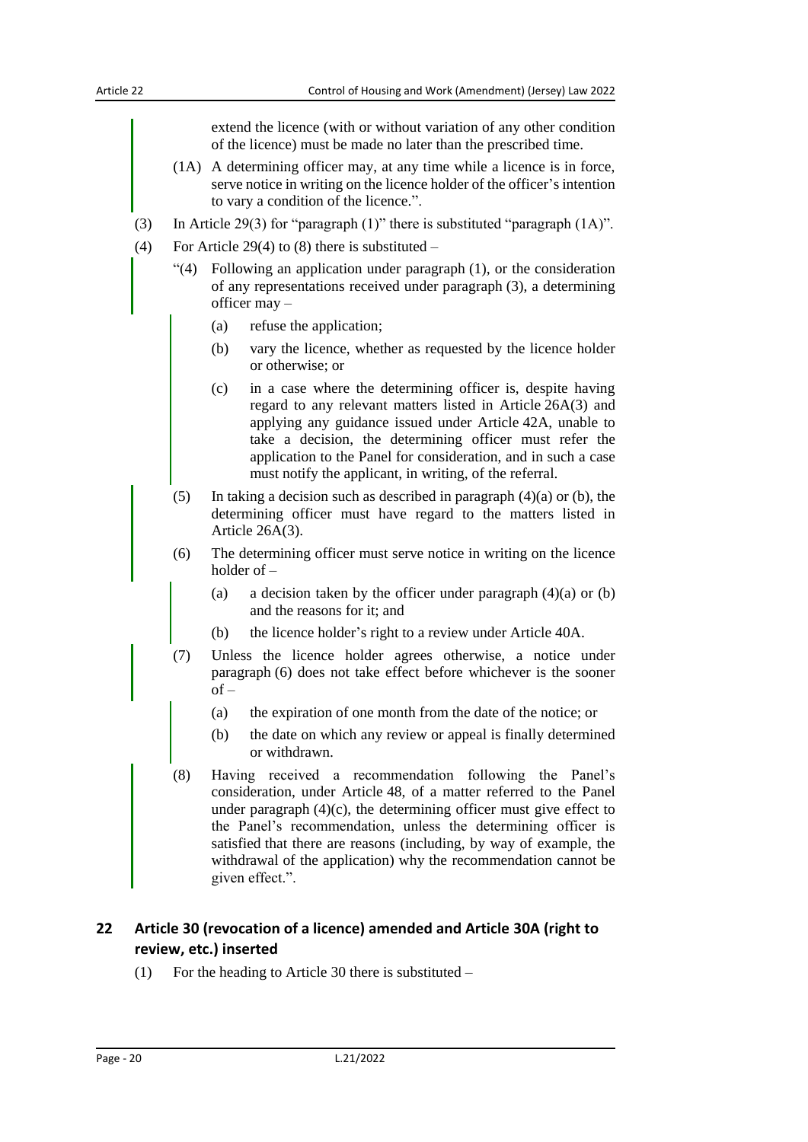extend the licence (with or without variation of any other condition of the licence) must be made no later than the prescribed time. (1A) A determining officer may, at any time while a licence is in force, serve notice in writing on the licence holder of the officer's intention to vary a condition of the licence.". (3) In Article 29(3) for "paragraph (1)" there is substituted "paragraph (1A)". (4) For Article 29(4) to (8) there is substituted  $-$ "(4) Following an application under paragraph (1), or the consideration of any representations received under paragraph (3), a determining officer may – (a) refuse the application; (b) vary the licence, whether as requested by the licence holder or otherwise; or (c) in a case where the determining officer is, despite having regard to any relevant matters listed in Article 26A(3) and applying any guidance issued under Article 42A, unable to take a decision, the determining officer must refer the application to the Panel for consideration, and in such a case must notify the applicant, in writing, of the referral. (5) In taking a decision such as described in paragraph  $(4)(a)$  or (b), the determining officer must have regard to the matters listed in Article 26A(3). (6) The determining officer must serve notice in writing on the licence holder of – (a) a decision taken by the officer under paragraph  $(4)(a)$  or  $(b)$ and the reasons for it; and (b) the licence holder's right to a review under Article 40A. (7) Unless the licence holder agrees otherwise, a notice under paragraph (6) does not take effect before whichever is the sooner of – (a) the expiration of one month from the date of the notice; or (b) the date on which any review or appeal is finally determined or withdrawn. (8) Having received a recommendation following the Panel's consideration, under Article 48, of a matter referred to the Panel under paragraph  $(4)(c)$ , the determining officer must give effect to the Panel's recommendation, unless the determining officer is satisfied that there are reasons (including, by way of example, the withdrawal of the application) why the recommendation cannot be given effect.".

## <span id="page-19-0"></span>**22 Article 30 (revocation of a licence) amended and Article 30A (right to review, etc.) inserted**

(1) For the heading to Article 30 there is substituted –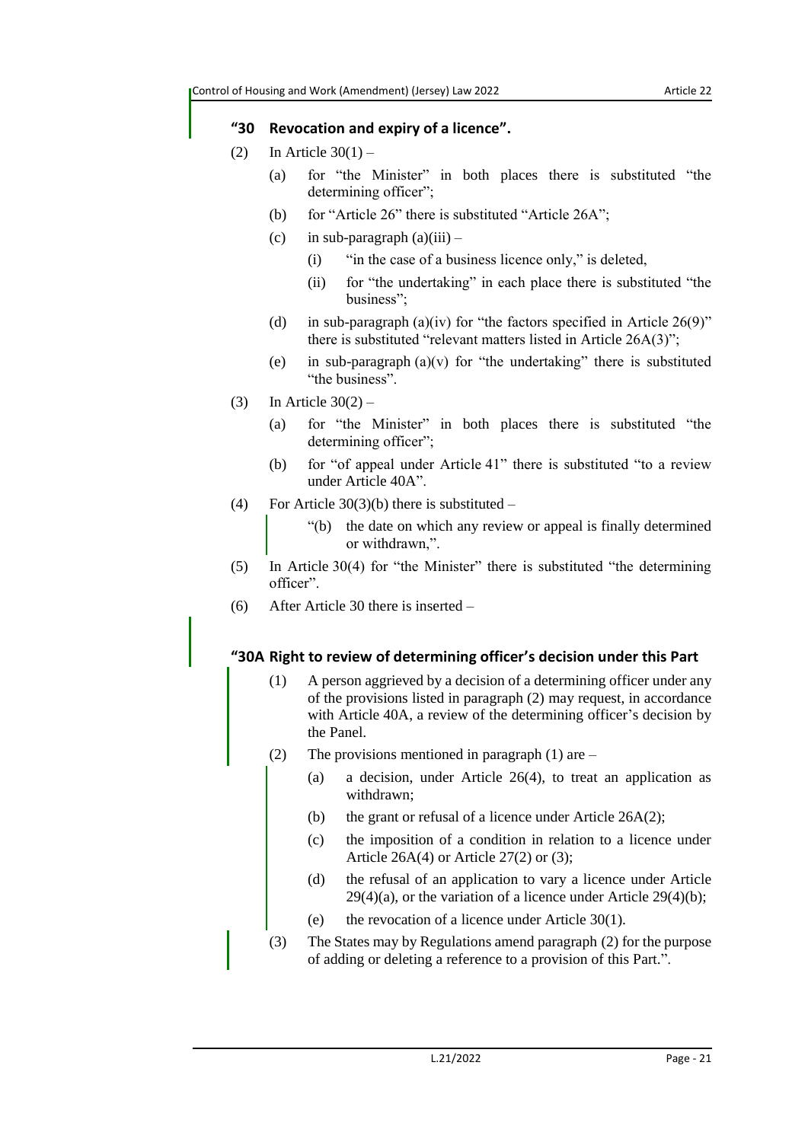#### **"30 Revocation and expiry of a licence".**

- (2) In Article  $30(1)$ 
	- (a) for "the Minister" in both places there is substituted "the determining officer";
	- (b) for "Article 26" there is substituted "Article 26A";
	- (c) in sub-paragraph  $(a)(iii)$ 
		- (i) "in the case of a business licence only," is deleted,
		- (ii) for "the undertaking" in each place there is substituted "the business";
	- (d) in sub-paragraph (a)(iv) for "the factors specified in Article  $26(9)$ " there is substituted "relevant matters listed in Article 26A(3)";
	- (e) in sub-paragraph  $(a)(v)$  for "the undertaking" there is substituted "the business".
- (3) In Article  $30(2)$ 
	- (a) for "the Minister" in both places there is substituted "the determining officer";
	- (b) for "of appeal under Article 41" there is substituted "to a review under Article 40A".
- (4) For Article  $30(3)(b)$  there is substituted
	- "(b) the date on which any review or appeal is finally determined or withdrawn,".
- (5) In Article 30(4) for "the Minister" there is substituted "the determining officer".
- (6) After Article 30 there is inserted –

#### **"30A Right to review of determining officer's decision under this Part**

- (1) A person aggrieved by a decision of a determining officer under any of the provisions listed in paragraph (2) may request, in accordance with Article 40A, a review of the determining officer's decision by the Panel.
- (2) The provisions mentioned in paragraph  $(1)$  are
	- (a) a decision, under Article 26(4), to treat an application as withdrawn;
	- (b) the grant or refusal of a licence under Article  $26A(2)$ ;
	- (c) the imposition of a condition in relation to a licence under Article 26A(4) or Article 27(2) or (3);
	- (d) the refusal of an application to vary a licence under Article  $29(4)(a)$ , or the variation of a licence under Article  $29(4)(b)$ ;
	- (e) the revocation of a licence under Article 30(1).
- (3) The States may by Regulations amend paragraph (2) for the purpose of adding or deleting a reference to a provision of this Part.".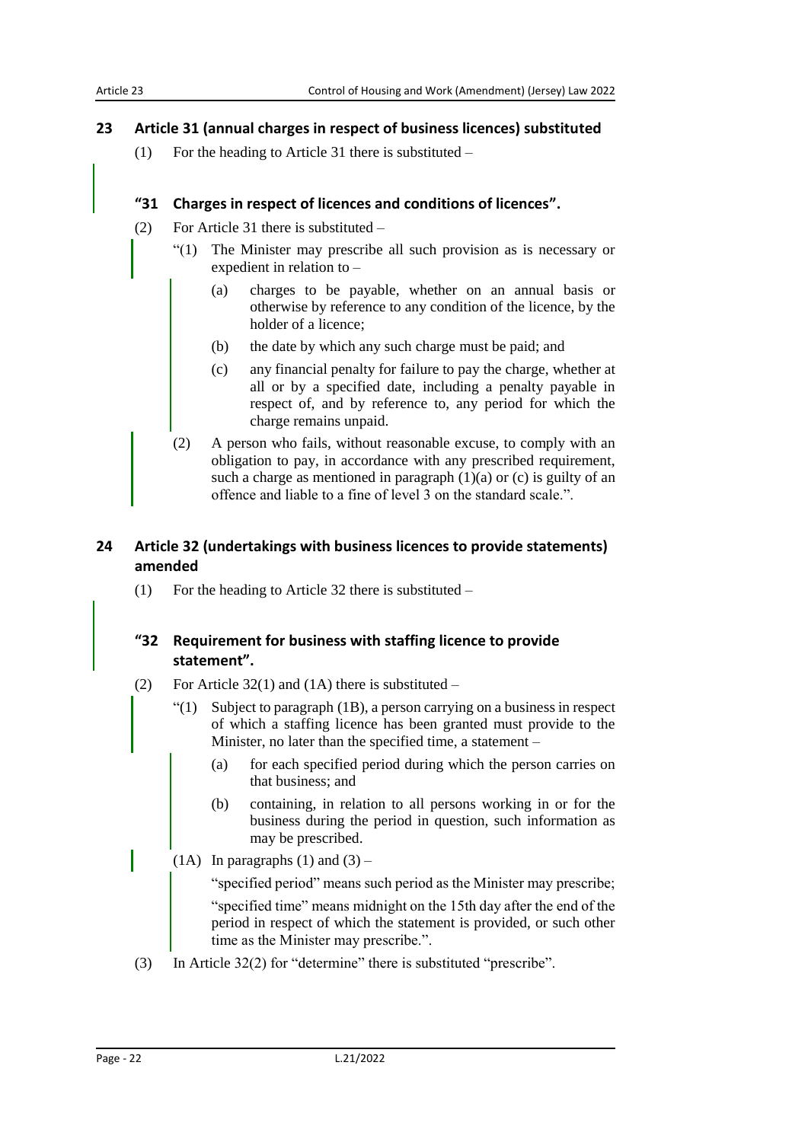#### <span id="page-21-0"></span>**23 Article 31 (annual charges in respect of business licences) substituted**

(1) For the heading to Article 31 there is substituted –

#### **"31 Charges in respect of licences and conditions of licences".**

- (2) For Article 31 there is substituted
	- "(1) The Minister may prescribe all such provision as is necessary or expedient in relation to –
		- (a) charges to be payable, whether on an annual basis or otherwise by reference to any condition of the licence, by the holder of a licence;
		- (b) the date by which any such charge must be paid; and
		- (c) any financial penalty for failure to pay the charge, whether at all or by a specified date, including a penalty payable in respect of, and by reference to, any period for which the charge remains unpaid.
	- (2) A person who fails, without reasonable excuse, to comply with an obligation to pay, in accordance with any prescribed requirement, such a charge as mentioned in paragraph  $(1)(a)$  or  $(c)$  is guilty of an offence and liable to a fine of level 3 on the standard scale.".

## <span id="page-21-1"></span>**24 Article 32 (undertakings with business licences to provide statements) amended**

(1) For the heading to Article 32 there is substituted –

## **"32 Requirement for business with staffing licence to provide statement".**

- (2) For Article  $32(1)$  and  $(1A)$  there is substituted
	- "(1) Subject to paragraph (1B), a person carrying on a business in respect of which a staffing licence has been granted must provide to the Minister, no later than the specified time, a statement –
		- (a) for each specified period during which the person carries on that business; and
		- (b) containing, in relation to all persons working in or for the business during the period in question, such information as may be prescribed.
	- (1A) In paragraphs (1) and  $(3)$  –

"specified period" means such period as the Minister may prescribe;

"specified time" means midnight on the 15th day after the end of the period in respect of which the statement is provided, or such other time as the Minister may prescribe.".

(3) In Article 32(2) for "determine" there is substituted "prescribe".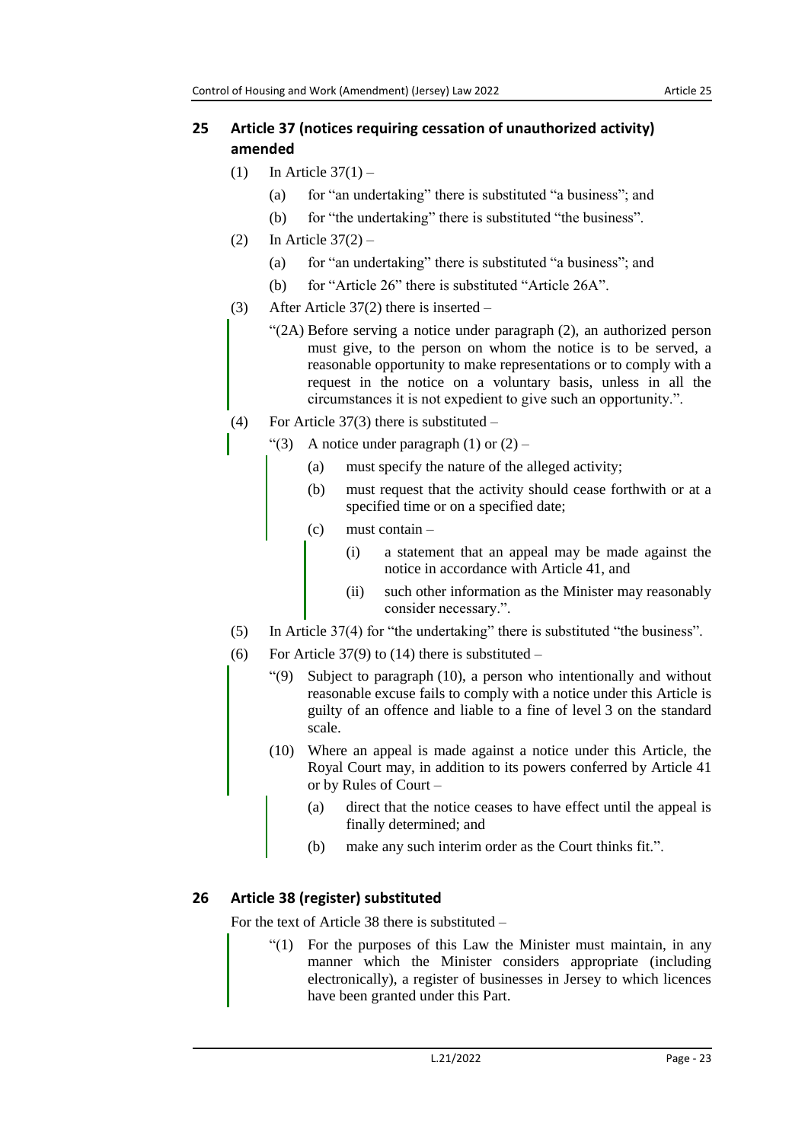# <span id="page-22-0"></span>**25 Article 37 (notices requiring cessation of unauthorized activity) amended**

- (1) In Article  $37(1)$ 
	- (a) for "an undertaking" there is substituted "a business"; and
	- (b) for "the undertaking" there is substituted "the business".
- $(2)$  In Article  $37(2)$ 
	- (a) for "an undertaking" there is substituted "a business"; and
	- (b) for "Article 26" there is substituted "Article 26A".
- (3) After Article 37(2) there is inserted
	- "(2A) Before serving a notice under paragraph (2), an authorized person must give, to the person on whom the notice is to be served, a reasonable opportunity to make representations or to comply with a request in the notice on a voluntary basis, unless in all the circumstances it is not expedient to give such an opportunity.".
- (4) For Article 37(3) there is substituted
	- $\lq(3)$  A notice under paragraph (1) or (2)
		- (a) must specify the nature of the alleged activity;
		- (b) must request that the activity should cease forthwith or at a specified time or on a specified date;
		- (c) must contain
			- (i) a statement that an appeal may be made against the notice in accordance with Article 41, and
			- (ii) such other information as the Minister may reasonably consider necessary.".
- (5) In Article 37(4) for "the undertaking" there is substituted "the business".
- (6) For Article  $37(9)$  to (14) there is substituted
	- "(9) Subject to paragraph (10), a person who intentionally and without reasonable excuse fails to comply with a notice under this Article is guilty of an offence and liable to a fine of level 3 on the standard scale.
		- (10) Where an appeal is made against a notice under this Article, the Royal Court may, in addition to its powers conferred by Article 41 or by Rules of Court –
			- (a) direct that the notice ceases to have effect until the appeal is finally determined; and
			- (b) make any such interim order as the Court thinks fit.".

# <span id="page-22-1"></span>**26 Article 38 (register) substituted**

For the text of Article 38 there is substituted –

"(1) For the purposes of this Law the Minister must maintain, in any manner which the Minister considers appropriate (including electronically), a register of businesses in Jersey to which licences have been granted under this Part.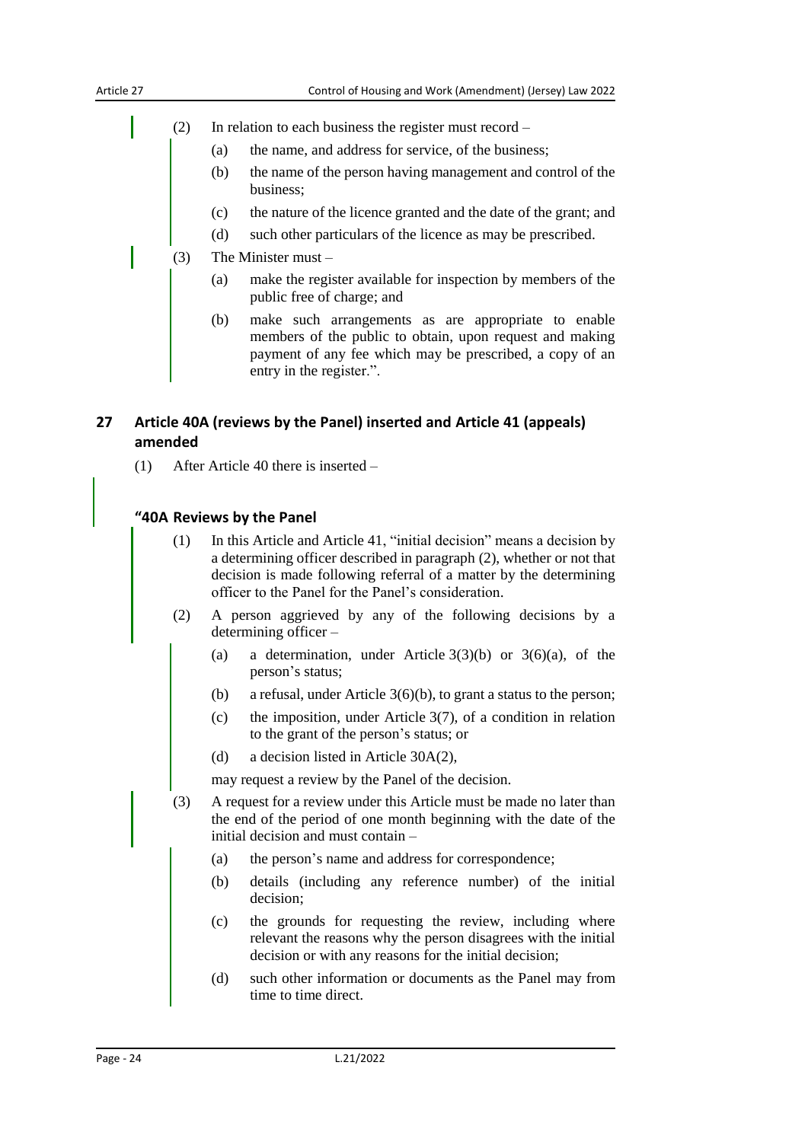- (2) In relation to each business the register must record
	- (a) the name, and address for service, of the business;
	- (b) the name of the person having management and control of the business;
	- (c) the nature of the licence granted and the date of the grant; and
	- (d) such other particulars of the licence as may be prescribed.
- (3) The Minister must
	- (a) make the register available for inspection by members of the public free of charge; and
	- (b) make such arrangements as are appropriate to enable members of the public to obtain, upon request and making payment of any fee which may be prescribed, a copy of an entry in the register.".

## <span id="page-23-0"></span>**27 Article 40A (reviews by the Panel) inserted and Article 41 (appeals) amended**

(1) After Article 40 there is inserted –

#### **"40A Reviews by the Panel**

- (1) In this Article and Article 41, "initial decision" means a decision by a determining officer described in paragraph (2), whether or not that decision is made following referral of a matter by the determining officer to the Panel for the Panel's consideration.
- (2) A person aggrieved by any of the following decisions by a determining officer –
	- (a) a determination, under Article  $3(3)(b)$  or  $3(6)(a)$ , of the person's status;
	- (b) a refusal, under Article 3(6)(b), to grant a status to the person;
	- (c) the imposition, under Article 3(7), of a condition in relation to the grant of the person's status; or
	- (d) a decision listed in Article 30A(2),

may request a review by the Panel of the decision.

- (3) A request for a review under this Article must be made no later than the end of the period of one month beginning with the date of the initial decision and must contain –
	- (a) the person's name and address for correspondence;
	- (b) details (including any reference number) of the initial decision;
	- (c) the grounds for requesting the review, including where relevant the reasons why the person disagrees with the initial decision or with any reasons for the initial decision;
	- (d) such other information or documents as the Panel may from time to time direct.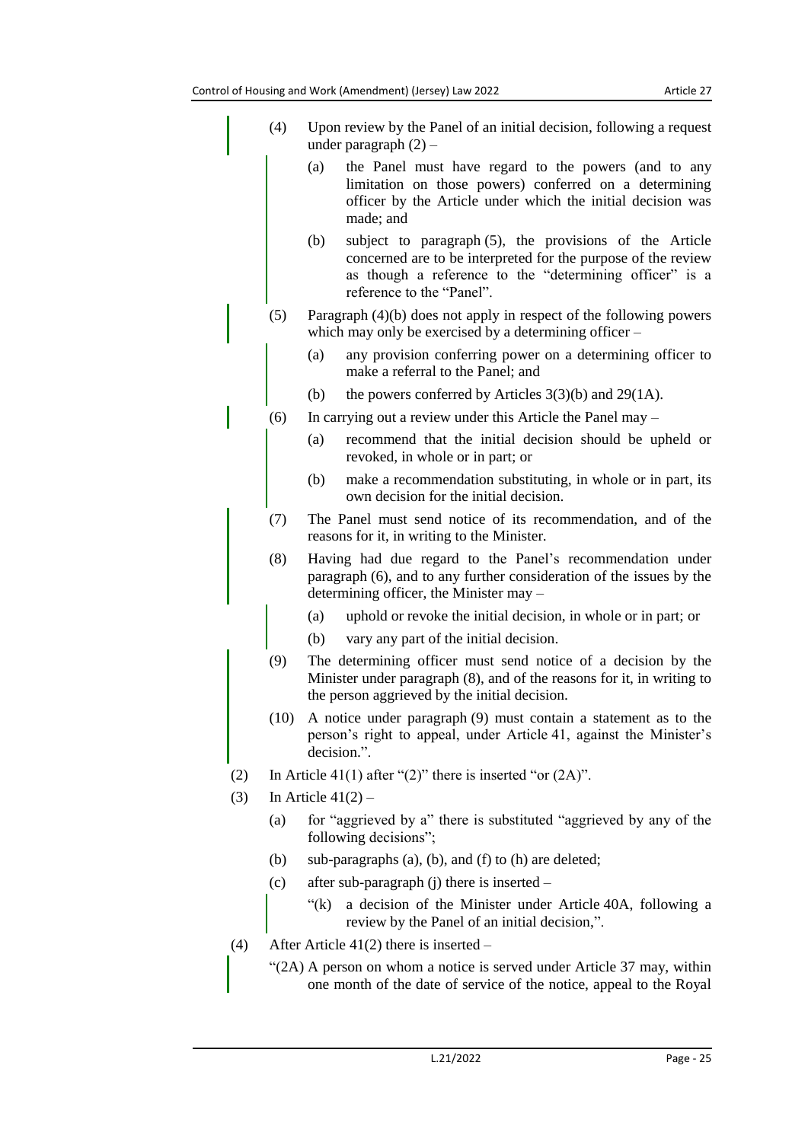|     | (4)  | Upon review by the Panel of an initial decision, following a request<br>under paragraph $(2)$ –                                                                                                                         |  |  |  |  |
|-----|------|-------------------------------------------------------------------------------------------------------------------------------------------------------------------------------------------------------------------------|--|--|--|--|
|     |      | (a)<br>the Panel must have regard to the powers (and to any<br>limitation on those powers) conferred on a determining<br>officer by the Article under which the initial decision was<br>made; and                       |  |  |  |  |
|     |      | (b)<br>subject to paragraph (5), the provisions of the Article<br>concerned are to be interpreted for the purpose of the review<br>as though a reference to the "determining officer" is a<br>reference to the "Panel". |  |  |  |  |
|     | (5)  | Paragraph $(4)(b)$ does not apply in respect of the following powers<br>which may only be exercised by a determining officer $-$                                                                                        |  |  |  |  |
|     |      | any provision conferring power on a determining officer to<br>(a)<br>make a referral to the Panel; and                                                                                                                  |  |  |  |  |
|     |      | (b)<br>the powers conferred by Articles $3(3)(b)$ and $29(1A)$ .                                                                                                                                                        |  |  |  |  |
|     | (6)  | In carrying out a review under this Article the Panel may –                                                                                                                                                             |  |  |  |  |
|     |      | recommend that the initial decision should be upheld or<br>(a)<br>revoked, in whole or in part; or                                                                                                                      |  |  |  |  |
|     |      | (b)<br>make a recommendation substituting, in whole or in part, its<br>own decision for the initial decision.                                                                                                           |  |  |  |  |
|     | (7)  | The Panel must send notice of its recommendation, and of the<br>reasons for it, in writing to the Minister.                                                                                                             |  |  |  |  |
|     | (8)  | Having had due regard to the Panel's recommendation under<br>paragraph (6), and to any further consideration of the issues by the<br>determining officer, the Minister may -                                            |  |  |  |  |
|     |      | uphold or revoke the initial decision, in whole or in part; or<br>(a)                                                                                                                                                   |  |  |  |  |
|     |      | (b)<br>vary any part of the initial decision.                                                                                                                                                                           |  |  |  |  |
|     | (9)  | The determining officer must send notice of a decision by the<br>Minister under paragraph (8), and of the reasons for it, in writing to<br>the person aggrieved by the initial decision.                                |  |  |  |  |
|     | (10) | A notice under paragraph (9) must contain a statement as to the<br>person's right to appeal, under Article 41, against the Minister's<br>decision.".                                                                    |  |  |  |  |
| (2) |      | In Article 41(1) after "(2)" there is inserted "or $(2A)$ ".                                                                                                                                                            |  |  |  |  |
| (3) |      | In Article $41(2)$ –                                                                                                                                                                                                    |  |  |  |  |
|     | (a)  | for "aggrieved by a" there is substituted "aggrieved by any of the<br>following decisions";                                                                                                                             |  |  |  |  |
|     | (b)  | sub-paragraphs $(a)$ , $(b)$ , and $(f)$ to $(h)$ are deleted;                                                                                                                                                          |  |  |  |  |
|     | (c)  | after sub-paragraph $(i)$ there is inserted –                                                                                                                                                                           |  |  |  |  |
|     |      | a decision of the Minister under Article 40A, following a<br>" $(k)$<br>review by the Panel of an initial decision,".                                                                                                   |  |  |  |  |
| (4) |      | After Article $41(2)$ there is inserted –                                                                                                                                                                               |  |  |  |  |
|     |      | "(2A) A person on whom a notice is served under Article 37 may, within<br>one month of the date of service of the notice, appeal to the Royal                                                                           |  |  |  |  |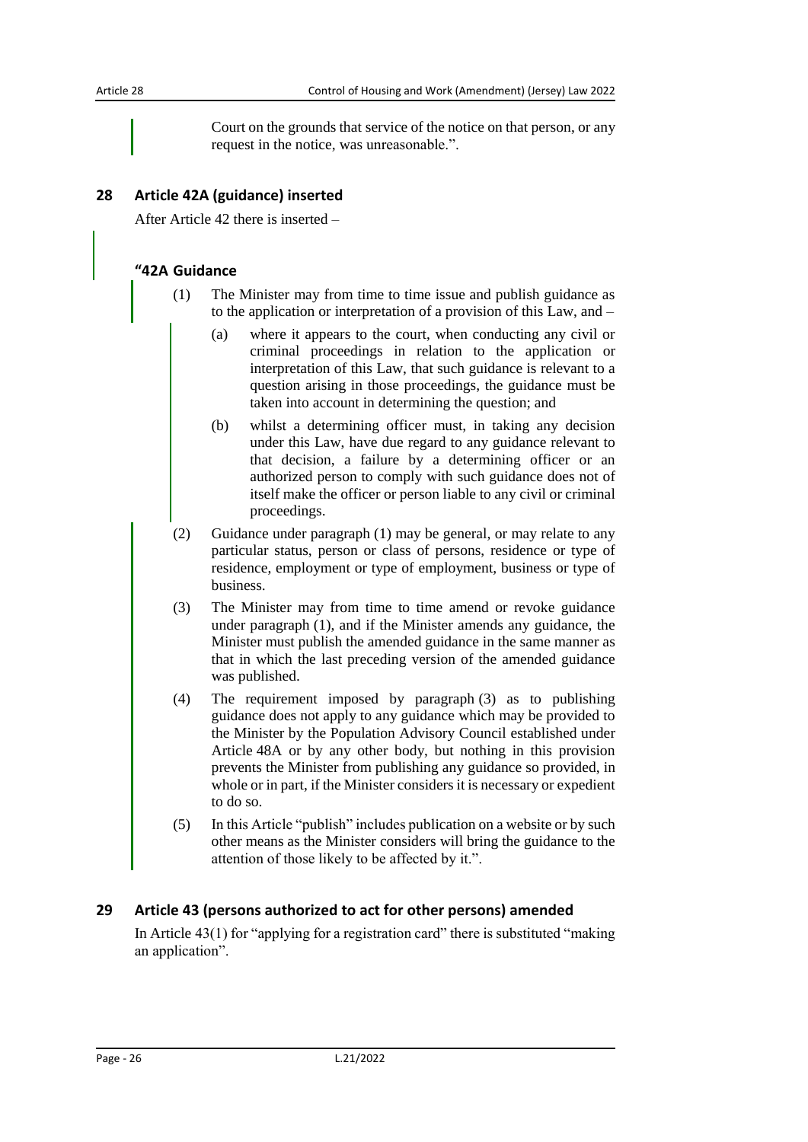Court on the grounds that service of the notice on that person, or any request in the notice, was unreasonable.".

### <span id="page-25-0"></span>**28 Article 42A (guidance) inserted**

After Article 42 there is inserted –

#### **"42A Guidance**

- (1) The Minister may from time to time issue and publish guidance as to the application or interpretation of a provision of this Law, and –
	- (a) where it appears to the court, when conducting any civil or criminal proceedings in relation to the application or interpretation of this Law, that such guidance is relevant to a question arising in those proceedings, the guidance must be taken into account in determining the question; and
	- (b) whilst a determining officer must, in taking any decision under this Law, have due regard to any guidance relevant to that decision, a failure by a determining officer or an authorized person to comply with such guidance does not of itself make the officer or person liable to any civil or criminal proceedings.
- (2) Guidance under paragraph (1) may be general, or may relate to any particular status, person or class of persons, residence or type of residence, employment or type of employment, business or type of business.
- (3) The Minister may from time to time amend or revoke guidance under paragraph (1), and if the Minister amends any guidance, the Minister must publish the amended guidance in the same manner as that in which the last preceding version of the amended guidance was published.
- (4) The requirement imposed by paragraph (3) as to publishing guidance does not apply to any guidance which may be provided to the Minister by the Population Advisory Council established under Article 48A or by any other body, but nothing in this provision prevents the Minister from publishing any guidance so provided, in whole or in part, if the Minister considers it is necessary or expedient to do so.
- (5) In this Article "publish" includes publication on a website or by such other means as the Minister considers will bring the guidance to the attention of those likely to be affected by it.".

#### <span id="page-25-1"></span>**29 Article 43 (persons authorized to act for other persons) amended**

In Article 43(1) for "applying for a registration card" there is substituted "making an application".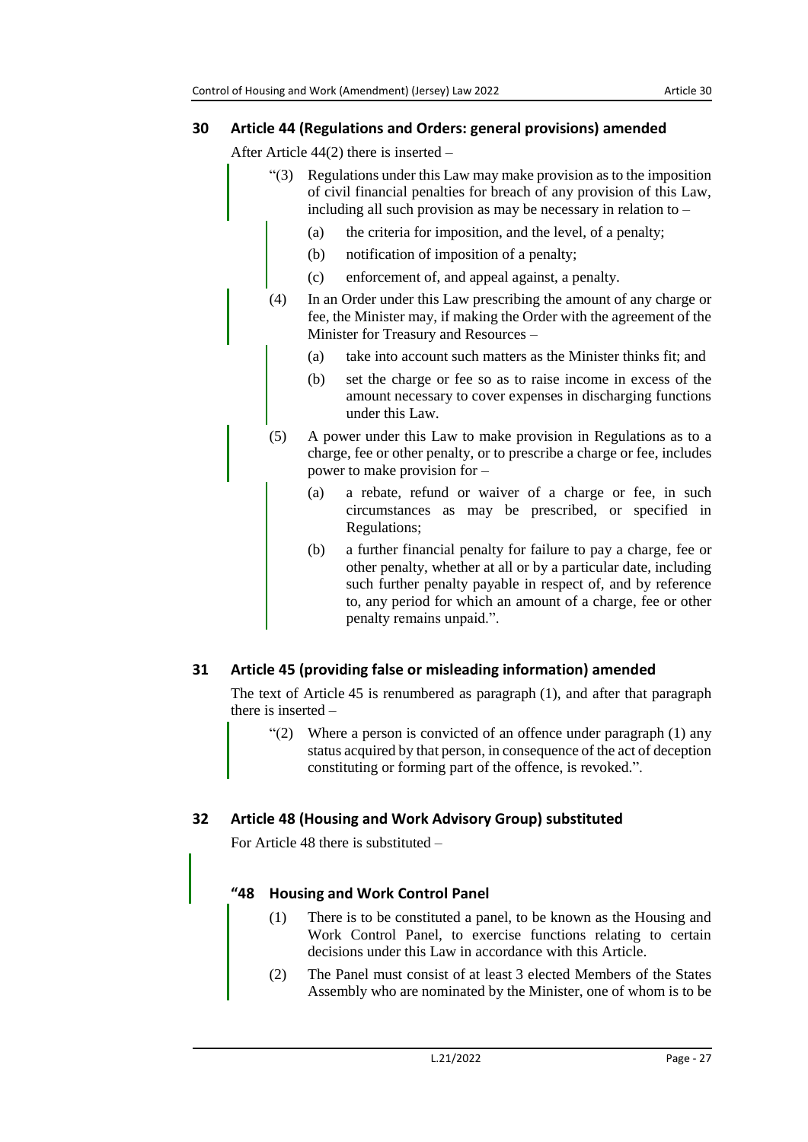## <span id="page-26-0"></span>**30 Article 44 (Regulations and Orders: general provisions) amended**

After Article 44(2) there is inserted –

- "(3) Regulations under this Law may make provision as to the imposition of civil financial penalties for breach of any provision of this Law, including all such provision as may be necessary in relation to –
	- (a) the criteria for imposition, and the level, of a penalty;
	- (b) notification of imposition of a penalty;
	- (c) enforcement of, and appeal against, a penalty.
- (4) In an Order under this Law prescribing the amount of any charge or fee, the Minister may, if making the Order with the agreement of the Minister for Treasury and Resources –
	- (a) take into account such matters as the Minister thinks fit; and
	- (b) set the charge or fee so as to raise income in excess of the amount necessary to cover expenses in discharging functions under this Law.
- (5) A power under this Law to make provision in Regulations as to a charge, fee or other penalty, or to prescribe a charge or fee, includes power to make provision for –
	- (a) a rebate, refund or waiver of a charge or fee, in such circumstances as may be prescribed, or specified in Regulations;
	- (b) a further financial penalty for failure to pay a charge, fee or other penalty, whether at all or by a particular date, including such further penalty payable in respect of, and by reference to, any period for which an amount of a charge, fee or other penalty remains unpaid.".

# <span id="page-26-1"></span>**31 Article 45 (providing false or misleading information) amended**

The text of Article 45 is renumbered as paragraph (1), and after that paragraph there is inserted –

" $(2)$  Where a person is convicted of an offence under paragraph  $(1)$  any status acquired by that person, in consequence of the act of deception constituting or forming part of the offence, is revoked.".

# <span id="page-26-2"></span>**32 Article 48 (Housing and Work Advisory Group) substituted**

For Article 48 there is substituted –

## **"48 Housing and Work Control Panel**

- (1) There is to be constituted a panel, to be known as the Housing and Work Control Panel, to exercise functions relating to certain decisions under this Law in accordance with this Article.
- (2) The Panel must consist of at least 3 elected Members of the States Assembly who are nominated by the Minister, one of whom is to be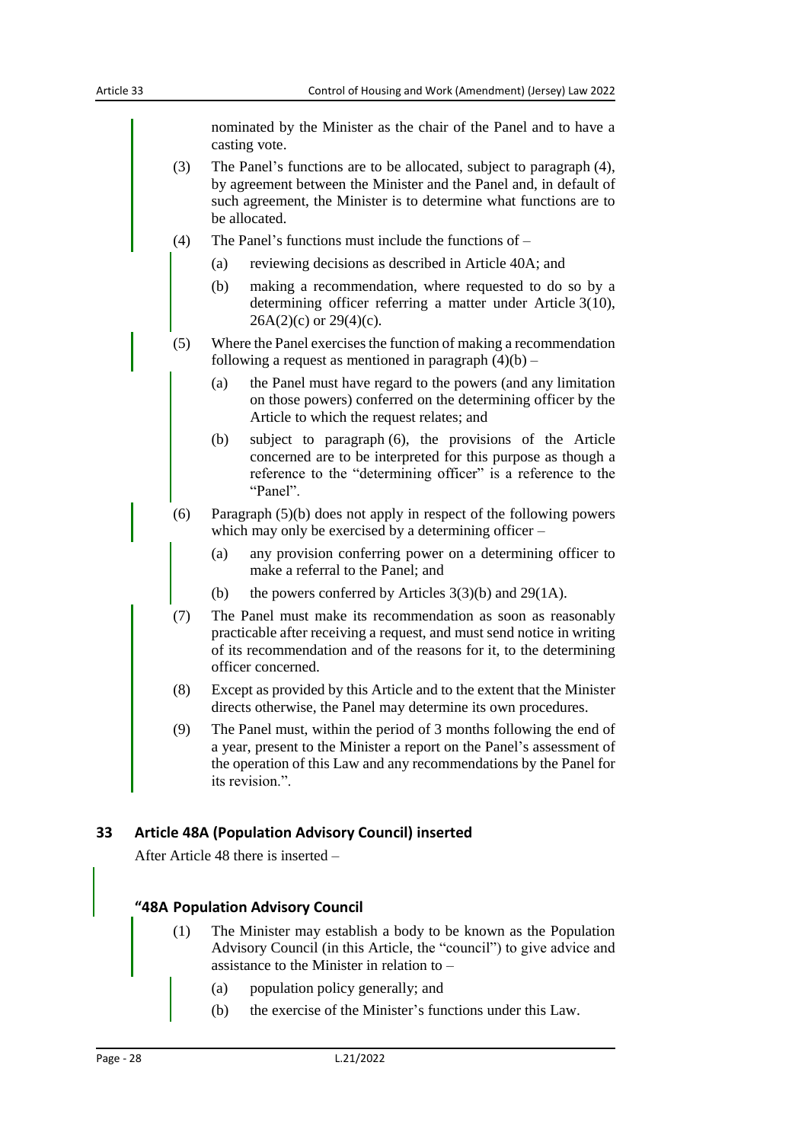nominated by the Minister as the chair of the Panel and to have a casting vote.

- (3) The Panel's functions are to be allocated, subject to paragraph (4), by agreement between the Minister and the Panel and, in default of such agreement, the Minister is to determine what functions are to be allocated.
- (4) The Panel's functions must include the functions of
	- (a) reviewing decisions as described in Article 40A; and
	- (b) making a recommendation, where requested to do so by a determining officer referring a matter under Article 3(10),  $26A(2)(c)$  or  $29(4)(c)$ .
- (5) Where the Panel exercises the function of making a recommendation following a request as mentioned in paragraph  $(4)(b)$  –
	- (a) the Panel must have regard to the powers (and any limitation on those powers) conferred on the determining officer by the Article to which the request relates; and
	- (b) subject to paragraph (6), the provisions of the Article concerned are to be interpreted for this purpose as though a reference to the "determining officer" is a reference to the "Panel".
- (6) Paragraph (5)(b) does not apply in respect of the following powers which may only be exercised by a determining officer –
	- (a) any provision conferring power on a determining officer to make a referral to the Panel; and
	- (b) the powers conferred by Articles  $3(3)(b)$  and  $29(1A)$ .
- (7) The Panel must make its recommendation as soon as reasonably practicable after receiving a request, and must send notice in writing of its recommendation and of the reasons for it, to the determining officer concerned.
- (8) Except as provided by this Article and to the extent that the Minister directs otherwise, the Panel may determine its own procedures.
- (9) The Panel must, within the period of 3 months following the end of a year, present to the Minister a report on the Panel's assessment of the operation of this Law and any recommendations by the Panel for its revision."

#### <span id="page-27-0"></span>**33 Article 48A (Population Advisory Council) inserted**

After Article 48 there is inserted –

#### **"48A Population Advisory Council**

- (1) The Minister may establish a body to be known as the Population Advisory Council (in this Article, the "council") to give advice and assistance to the Minister in relation to –
	- (a) population policy generally; and
	- (b) the exercise of the Minister's functions under this Law.